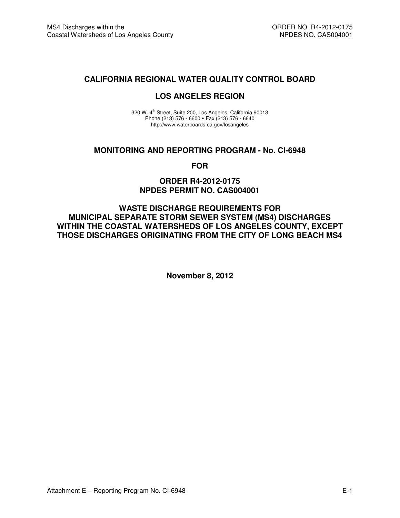### **CALIFORNIA REGIONAL WATER QUALITY CONTROL BOARD**

#### **LOS ANGELES REGION**

320 W. 4<sup>th</sup> Street, Suite 200, Los Angeles, California 90013 Phone (213) 576 - 6600 • Fax (213) 576 - 6640 http://www.waterboards.ca.gov/losangeles

#### **MONITORING AND REPORTING PROGRAM - No. CI-6948**

**FOR** 

### **ORDER R4-2012-0175 NPDES PERMIT NO. CAS004001**

**WASTE DISCHARGE REQUIREMENTS FOR MUNICIPAL SEPARATE STORM SEWER SYSTEM (MS4) DISCHARGES WITHIN THE COASTAL WATERSHEDS OF LOS ANGELES COUNTY, EXCEPT THOSE DISCHARGES ORIGINATING FROM THE CITY OF LONG BEACH MS4** 

**November 8, 2012**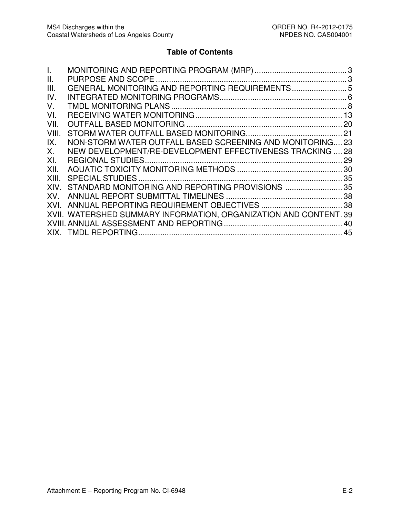# **Table of Contents**

| $\mathbf{L}$ |                                                                   |    |
|--------------|-------------------------------------------------------------------|----|
| Ш.           |                                                                   |    |
| Ш.           | GENERAL MONITORING AND REPORTING REQUIREMENTS5                    |    |
| IV.          |                                                                   |    |
| V.           |                                                                   |    |
| VI.          |                                                                   |    |
| VII.         |                                                                   |    |
| VIII.        |                                                                   |    |
| IX.          | NON-STORM WATER OUTFALL BASED SCREENING AND MONITORING23          |    |
| Х.           | NEW DEVELOPMENT/RE-DEVELOPMENT EFFECTIVENESS TRACKING  28         |    |
| XI.          |                                                                   |    |
| XII.         |                                                                   |    |
| XIII.        |                                                                   |    |
| XIV.         | STANDARD MONITORING AND REPORTING PROVISIONS  35                  |    |
| XV.          |                                                                   |    |
|              |                                                                   |    |
|              | XVII. WATERSHED SUMMARY INFORMATION, ORGANIZATION AND CONTENT. 39 |    |
|              |                                                                   | 40 |
|              |                                                                   | 45 |
|              |                                                                   |    |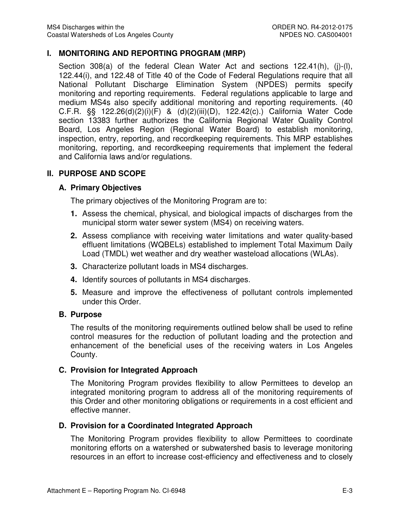### **I. MONITORING AND REPORTING PROGRAM (MRP)**

Section 308(a) of the federal Clean Water Act and sections 122.41(h), (j)-(l), 122.44(i), and 122.48 of Title 40 of the Code of Federal Regulations require that all National Pollutant Discharge Elimination System (NPDES) permits specify monitoring and reporting requirements. Federal regulations applicable to large and medium MS4s also specify additional monitoring and reporting requirements. (40 C.F.R. §§ 122.26(d)(2)(i)(F) & (d)(2)(iii)(D), 122.42(c).) California Water Code section 13383 further authorizes the California Regional Water Quality Control Board, Los Angeles Region (Regional Water Board) to establish monitoring, inspection, entry, reporting, and recordkeeping requirements. This MRP establishes monitoring, reporting, and recordkeeping requirements that implement the federal and California laws and/or regulations.

### **II. PURPOSE AND SCOPE**

### **A. Primary Objectives**

The primary objectives of the Monitoring Program are to:

- **1.** Assess the chemical, physical, and biological impacts of discharges from the municipal storm water sewer system (MS4) on receiving waters.
- **2.** Assess compliance with receiving water limitations and water quality-based effluent limitations (WQBELs) established to implement Total Maximum Daily Load (TMDL) wet weather and dry weather wasteload allocations (WLAs).
- **3.** Characterize pollutant loads in MS4 discharges.
- **4.** Identify sources of pollutants in MS4 discharges.
- **5.** Measure and improve the effectiveness of pollutant controls implemented under this Order.

### **B. Purpose**

The results of the monitoring requirements outlined below shall be used to refine control measures for the reduction of pollutant loading and the protection and enhancement of the beneficial uses of the receiving waters in Los Angeles County.

### **C. Provision for Integrated Approach**

The Monitoring Program provides flexibility to allow Permittees to develop an integrated monitoring program to address all of the monitoring requirements of this Order and other monitoring obligations or requirements in a cost efficient and effective manner.

### **D. Provision for a Coordinated Integrated Approach**

The Monitoring Program provides flexibility to allow Permittees to coordinate monitoring efforts on a watershed or subwatershed basis to leverage monitoring resources in an effort to increase cost-efficiency and effectiveness and to closely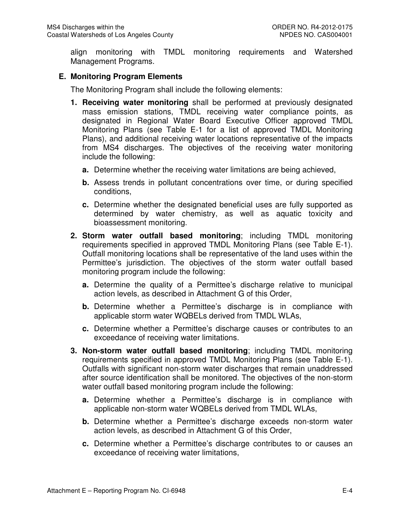align monitoring with TMDL monitoring requirements and Watershed Management Programs.

### **E. Monitoring Program Elements**

The Monitoring Program shall include the following elements:

- **1. Receiving water monitoring** shall be performed at previously designated mass emission stations, TMDL receiving water compliance points, as designated in Regional Water Board Executive Officer approved TMDL Monitoring Plans (see Table E-1 for a list of approved TMDL Monitoring Plans), and additional receiving water locations representative of the impacts from MS4 discharges. The objectives of the receiving water monitoring include the following:
	- **a.** Determine whether the receiving water limitations are being achieved,
	- **b.** Assess trends in pollutant concentrations over time, or during specified conditions,
	- **c.** Determine whether the designated beneficial uses are fully supported as determined by water chemistry, as well as aquatic toxicity and bioassessment monitoring.
- **2. Storm water outfall based monitoring**; including TMDL monitoring requirements specified in approved TMDL Monitoring Plans (see Table E-1). Outfall monitoring locations shall be representative of the land uses within the Permittee's jurisdiction. The objectives of the storm water outfall based monitoring program include the following:
	- **a.** Determine the quality of a Permittee's discharge relative to municipal action levels, as described in Attachment G of this Order,
	- **b.** Determine whether a Permittee's discharge is in compliance with applicable storm water WQBELs derived from TMDL WLAs,
	- **c.** Determine whether a Permittee's discharge causes or contributes to an exceedance of receiving water limitations.
- **3. Non-storm water outfall based monitoring**; including TMDL monitoring requirements specified in approved TMDL Monitoring Plans (see Table E-1). Outfalls with significant non-storm water discharges that remain unaddressed after source identification shall be monitored. The objectives of the non-storm water outfall based monitoring program include the following:
	- **a.** Determine whether a Permittee's discharge is in compliance with applicable non-storm water WQBELs derived from TMDL WLAs,
	- **b.** Determine whether a Permittee's discharge exceeds non-storm water action levels, as described in Attachment G of this Order,
	- **c.** Determine whether a Permittee's discharge contributes to or causes an exceedance of receiving water limitations,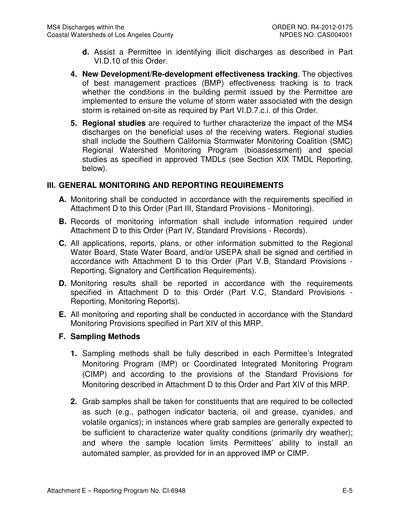- **d.** Assist a Permittee in identifying illicit discharges as described in Part VI.D.10 of this Order.
- **4. New Development/Re-development effectiveness tracking**. The objectives of best management practices (BMP) effectiveness tracking is to track whether the conditions in the building permit issued by the Permittee are implemented to ensure the volume of storm water associated with the design storm is retained on-site as required by Part VI.D.7.c.i. of this Order.
- **5. Regional studies** are required to further characterize the impact of the MS4 discharges on the beneficial uses of the receiving waters. Regional studies shall include the Southern California Stormwater Monitoring Coalition (SMC) Regional Watershed Monitoring Program (bioassessment) and special studies as specified in approved TMDLs (see Section XIX TMDL Reporting, below).

### **III. GENERAL MONITORING AND REPORTING REQUIREMENTS**

- **A.** Monitoring shall be conducted in accordance with the requirements specified in Attachment D to this Order (Part III, Standard Provisions - Monitoring).
- **B.** Records of monitoring information shall include information required under Attachment D to this Order (Part IV, Standard Provisions - Records).
- **C.** All applications, reports, plans, or other information submitted to the Regional Water Board, State Water Board, and/or USEPA shall be signed and certified in accordance with Attachment D to this Order (Part V.B, Standard Provisions - Reporting, Signatory and Certification Requirements).
- **D.** Monitoring results shall be reported in accordance with the requirements specified in Attachment D to this Order (Part V.C, Standard Provisions - Reporting, Monitoring Reports).
- **E.** All monitoring and reporting shall be conducted in accordance with the Standard Monitoring Provisions specified in Part XIV of this MRP.

### **F. Sampling Methods**

- **1.** Sampling methods shall be fully described in each Permittee's Integrated Monitoring Program (IMP) or Coordinated Integrated Monitoring Program (CIMP) and according to the provisions of the Standard Provisions for Monitoring described in Attachment D to this Order and Part XIV of this MRP.
- **2.** Grab samples shall be taken for constituents that are required to be collected as such (e.g., pathogen indicator bacteria, oil and grease, cyanides, and volatile organics); in instances where grab samples are generally expected to be sufficient to characterize water quality conditions (primarily dry weather); and where the sample location limits Permittees' ability to install an automated sampler, as provided for in an approved IMP or CIMP.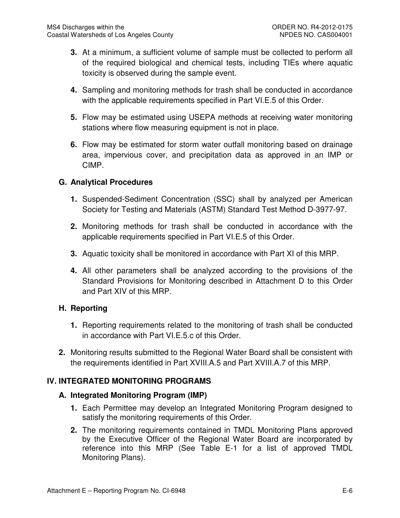- **3.** At a minimum, a sufficient volume of sample must be collected to perform all of the required biological and chemical tests, including TIEs where aquatic toxicity is observed during the sample event.
- **4.** Sampling and monitoring methods for trash shall be conducted in accordance with the applicable requirements specified in Part VI.E.5 of this Order.
- **5.** Flow may be estimated using USEPA methods at receiving water monitoring stations where flow measuring equipment is not in place.
- **6.** Flow may be estimated for storm water outfall monitoring based on drainage area, impervious cover, and precipitation data as approved in an IMP or CIMP.

## **G. Analytical Procedures**

- **1.** Suspended-Sediment Concentration (SSC) shall by analyzed per American Society for Testing and Materials (ASTM) Standard Test Method D-3977-97.
- **2.** Monitoring methods for trash shall be conducted in accordance with the applicable requirements specified in Part VI.E.5 of this Order.
- **3.** Aquatic toxicity shall be monitored in accordance with Part XI of this MRP.
- **4.** All other parameters shall be analyzed according to the provisions of the Standard Provisions for Monitoring described in Attachment D to this Order and Part XIV of this MRP.

### **H. Reporting**

- **1.** Reporting requirements related to the monitoring of trash shall be conducted in accordance with Part VI.E.5.c of this Order.
- **2.** Monitoring results submitted to the Regional Water Board shall be consistent with the requirements identified in Part XVIII.A.5 and Part XVIII.A.7 of this MRP.

## **IV. INTEGRATED MONITORING PROGRAMS**

### **A. Integrated Monitoring Program (IMP)**

- **1.** Each Permittee may develop an Integrated Monitoring Program designed to satisfy the monitoring requirements of this Order.
- **2.** The monitoring requirements contained in TMDL Monitoring Plans approved by the Executive Officer of the Regional Water Board are incorporated by reference into this MRP (See Table E-1 for a list of approved TMDL Monitoring Plans).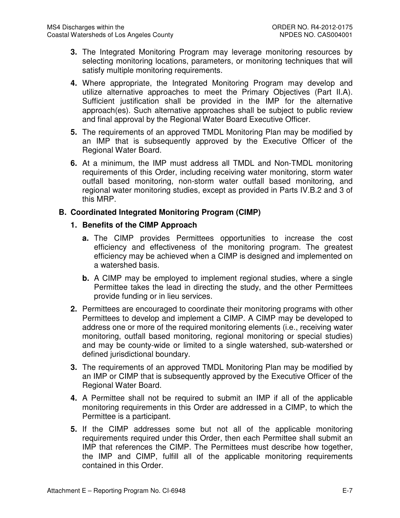- **3.** The Integrated Monitoring Program may leverage monitoring resources by selecting monitoring locations, parameters, or monitoring techniques that will satisfy multiple monitoring requirements.
- **4.** Where appropriate, the Integrated Monitoring Program may develop and utilize alternative approaches to meet the Primary Objectives (Part II.A). Sufficient justification shall be provided in the IMP for the alternative approach(es). Such alternative approaches shall be subject to public review and final approval by the Regional Water Board Executive Officer.
- **5.** The requirements of an approved TMDL Monitoring Plan may be modified by an IMP that is subsequently approved by the Executive Officer of the Regional Water Board.
- **6.** At a minimum, the IMP must address all TMDL and Non-TMDL monitoring requirements of this Order, including receiving water monitoring, storm water outfall based monitoring, non-storm water outfall based monitoring, and regional water monitoring studies, except as provided in Parts IV.B.2 and 3 of this MRP.

## **B. Coordinated Integrated Monitoring Program (CIMP)**

### **1. Benefits of the CIMP Approach**

- **a.** The CIMP provides Permittees opportunities to increase the cost efficiency and effectiveness of the monitoring program. The greatest efficiency may be achieved when a CIMP is designed and implemented on a watershed basis.
- **b.** A CIMP may be employed to implement regional studies, where a single Permittee takes the lead in directing the study, and the other Permittees provide funding or in lieu services.
- **2.** Permittees are encouraged to coordinate their monitoring programs with other Permittees to develop and implement a CIMP. A CIMP may be developed to address one or more of the required monitoring elements (i.e., receiving water monitoring, outfall based monitoring, regional monitoring or special studies) and may be county-wide or limited to a single watershed, sub-watershed or defined jurisdictional boundary.
- **3.** The requirements of an approved TMDL Monitoring Plan may be modified by an IMP or CIMP that is subsequently approved by the Executive Officer of the Regional Water Board.
- **4.** A Permittee shall not be required to submit an IMP if all of the applicable monitoring requirements in this Order are addressed in a CIMP, to which the Permittee is a participant.
- **5.** If the CIMP addresses some but not all of the applicable monitoring requirements required under this Order, then each Permittee shall submit an IMP that references the CIMP. The Permittees must describe how together, the IMP and CIMP, fulfill all of the applicable monitoring requirements contained in this Order.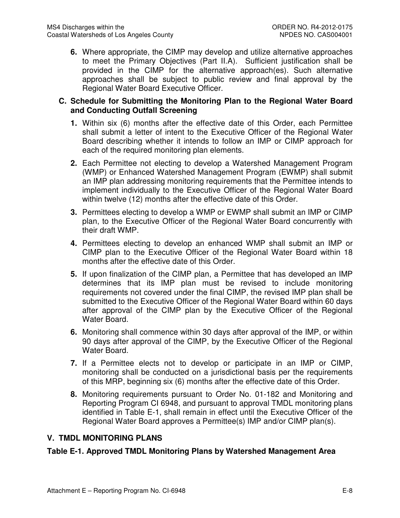**6.** Where appropriate, the CIMP may develop and utilize alternative approaches to meet the Primary Objectives (Part II.A). Sufficient justification shall be provided in the CIMP for the alternative approach(es). Such alternative approaches shall be subject to public review and final approval by the Regional Water Board Executive Officer.

### **C. Schedule for Submitting the Monitoring Plan to the Regional Water Board and Conducting Outfall Screening**

- **1.** Within six (6) months after the effective date of this Order, each Permittee shall submit a letter of intent to the Executive Officer of the Regional Water Board describing whether it intends to follow an IMP or CIMP approach for each of the required monitoring plan elements.
- **2.** Each Permittee not electing to develop a Watershed Management Program (WMP) or Enhanced Watershed Management Program (EWMP) shall submit an IMP plan addressing monitoring requirements that the Permittee intends to implement individually to the Executive Officer of the Regional Water Board within twelve (12) months after the effective date of this Order.
- **3.** Permittees electing to develop a WMP or EWMP shall submit an IMP or CIMP plan, to the Executive Officer of the Regional Water Board concurrently with their draft WMP.
- **4.** Permittees electing to develop an enhanced WMP shall submit an IMP or CIMP plan to the Executive Officer of the Regional Water Board within 18 months after the effective date of this Order.
- **5.** If upon finalization of the CIMP plan, a Permittee that has developed an IMP determines that its IMP plan must be revised to include monitoring requirements not covered under the final CIMP, the revised IMP plan shall be submitted to the Executive Officer of the Regional Water Board within 60 days after approval of the CIMP plan by the Executive Officer of the Regional Water Board.
- **6.** Monitoring shall commence within 30 days after approval of the IMP, or within 90 days after approval of the CIMP, by the Executive Officer of the Regional Water Board.
- **7.** If a Permittee elects not to develop or participate in an IMP or CIMP, monitoring shall be conducted on a jurisdictional basis per the requirements of this MRP, beginning six (6) months after the effective date of this Order.
- **8.** Monitoring requirements pursuant to Order No. 01-182 and Monitoring and Reporting Program CI 6948, and pursuant to approval TMDL monitoring plans identified in Table E-1, shall remain in effect until the Executive Officer of the Regional Water Board approves a Permittee(s) IMP and/or CIMP plan(s).

## **V. TMDL MONITORING PLANS**

## **Table E-1. Approved TMDL Monitoring Plans by Watershed Management Area**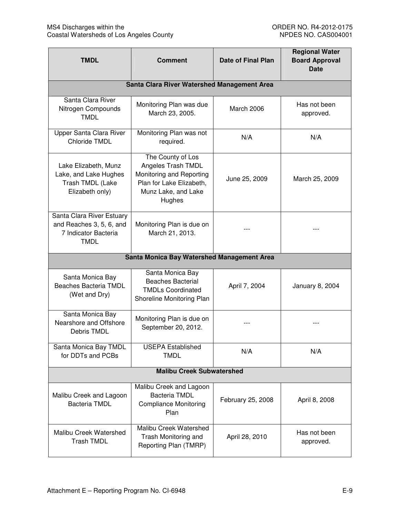| <b>TMDL</b><br><b>Comment</b>                                                                |                                                                                                                                  | <b>Date of Final Plan</b> | <b>Regional Water</b><br><b>Board Approval</b><br><b>Date</b> |
|----------------------------------------------------------------------------------------------|----------------------------------------------------------------------------------------------------------------------------------|---------------------------|---------------------------------------------------------------|
|                                                                                              | Santa Clara River Watershed Management Area                                                                                      |                           |                                                               |
| Santa Clara River<br>Nitrogen Compounds<br><b>TMDL</b>                                       | Monitoring Plan was due<br>March 23, 2005.                                                                                       | March 2006                | Has not been<br>approved.                                     |
| Upper Santa Clara River<br>Chloride TMDL                                                     | Monitoring Plan was not<br>required.                                                                                             | N/A                       | N/A                                                           |
| Lake Elizabeth, Munz<br>Lake, and Lake Hughes<br>Trash TMDL (Lake<br>Elizabeth only)         | The County of Los<br>Angeles Trash TMDL<br>Monitoring and Reporting<br>Plan for Lake Elizabeth,<br>Munz Lake, and Lake<br>Hughes | June 25, 2009             | March 25, 2009                                                |
| Santa Clara River Estuary<br>and Reaches 3, 5, 6, and<br>7 Indicator Bacteria<br><b>TMDL</b> | Monitoring Plan is due on<br>March 21, 2013.                                                                                     |                           |                                                               |
|                                                                                              | Santa Monica Bay Watershed Management Area                                                                                       |                           |                                                               |
| Santa Monica Bay<br>Beaches Bacteria TMDL<br>(Wet and Dry)                                   | Santa Monica Bay<br><b>Beaches Bacterial</b><br><b>TMDLs Coordinated</b><br>Shoreline Monitoring Plan                            | April 7, 2004             | January 8, 2004                                               |
| Santa Monica Bay<br>Nearshore and Offshore<br>Debris TMDL                                    | Monitoring Plan is due on<br>September 20, 2012.                                                                                 |                           |                                                               |
| Santa Monica Bay TMDL<br>for DDTs and PCBs                                                   | <b>USEPA Established</b><br><b>TMDL</b>                                                                                          | N/A                       | N/A                                                           |
| <b>Malibu Creek Subwatershed</b>                                                             |                                                                                                                                  |                           |                                                               |
| Malibu Creek and Lagoon<br><b>Bacteria TMDL</b>                                              | Malibu Creek and Lagoon<br><b>Bacteria TMDL</b><br><b>Compliance Monitoring</b><br>Plan                                          | February 25, 2008         | April 8, 2008                                                 |
| Malibu Creek Watershed<br><b>Trash TMDL</b>                                                  | Malibu Creek Watershed<br>Trash Monitoring and<br>Reporting Plan (TMRP)                                                          | April 28, 2010            | Has not been<br>approved.                                     |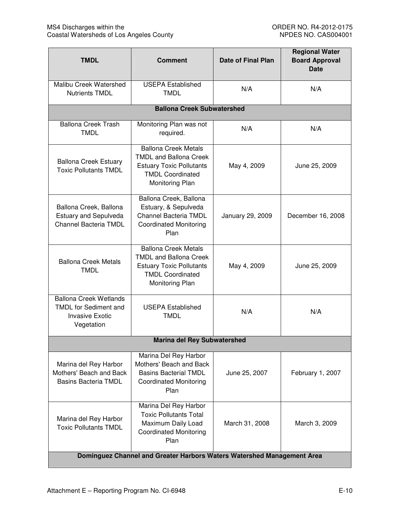| <b>TMDL</b>                                                                                           | <b>Comment</b>                                                                                                                                | <b>Date of Final Plan</b> | <b>Regional Water</b><br><b>Board Approval</b><br><b>Date</b> |
|-------------------------------------------------------------------------------------------------------|-----------------------------------------------------------------------------------------------------------------------------------------------|---------------------------|---------------------------------------------------------------|
| Malibu Creek Watershed<br><b>Nutrients TMDL</b>                                                       | <b>USEPA Established</b><br>N/A<br><b>TMDL</b>                                                                                                |                           | N/A                                                           |
|                                                                                                       | <b>Ballona Creek Subwatershed</b>                                                                                                             |                           |                                                               |
| <b>Ballona Creek Trash</b><br><b>TMDL</b>                                                             | Monitoring Plan was not<br>required.                                                                                                          | N/A                       | N/A                                                           |
| <b>Ballona Creek Estuary</b><br><b>Toxic Pollutants TMDL</b>                                          | <b>Ballona Creek Metals</b><br><b>TMDL and Ballona Creek</b><br><b>Estuary Toxic Pollutants</b><br><b>TMDL Coordinated</b><br>Monitoring Plan | May 4, 2009               | June 25, 2009                                                 |
| Ballona Creek, Ballona<br><b>Estuary and Sepulveda</b><br>Channel Bacteria TMDL                       | Ballona Creek, Ballona<br>Estuary, & Sepulveda<br>Channel Bacteria TMDL<br><b>Coordinated Monitoring</b><br>Plan                              | January 29, 2009          | December 16, 2008                                             |
| <b>Ballona Creek Metals</b><br><b>TMDL</b>                                                            | <b>Ballona Creek Metals</b><br><b>TMDL and Ballona Creek</b><br><b>Estuary Toxic Pollutants</b><br><b>TMDL Coordinated</b><br>Monitoring Plan | May 4, 2009               | June 25, 2009                                                 |
| <b>Ballona Creek Wetlands</b><br><b>TMDL</b> for Sediment and<br><b>Invasive Exotic</b><br>Vegetation | <b>USEPA Established</b><br><b>TMDL</b>                                                                                                       | N/A                       | N/A                                                           |
|                                                                                                       | <b>Marina del Rey Subwatershed</b>                                                                                                            |                           |                                                               |
| Marina del Rey Harbor<br>Mothers' Beach and Back<br><b>Basins Bacteria TMDL</b>                       | Marina Del Rey Harbor<br>Mothers' Beach and Back<br><b>Basins Bacterial TMDL</b><br><b>Coordinated Monitoring</b><br>Plan                     | June 25, 2007             | February 1, 2007                                              |
| Marina del Rey Harbor<br><b>Toxic Pollutants TMDL</b>                                                 | Marina Del Rey Harbor<br><b>Toxic Pollutants Total</b><br>Maximum Daily Load<br><b>Coordinated Monitoring</b><br>Plan                         | March 31, 2008            | March 3, 2009                                                 |
| Dominguez Channel and Greater Harbors Waters Watershed Management Area                                |                                                                                                                                               |                           |                                                               |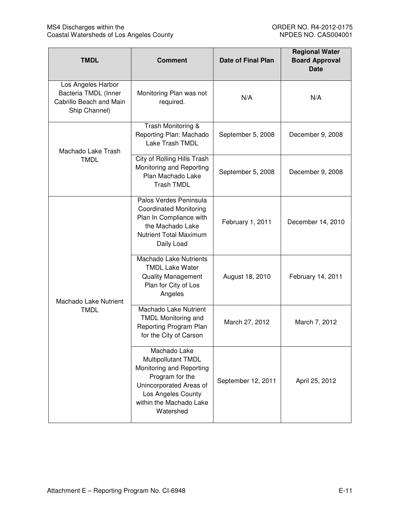| <b>TMDL</b>                                                                                                                    | <b>Comment</b>                                                                                                                                                                     | <b>Date of Final Plan</b> | <b>Regional Water</b><br><b>Board Approval</b><br><b>Date</b> |
|--------------------------------------------------------------------------------------------------------------------------------|------------------------------------------------------------------------------------------------------------------------------------------------------------------------------------|---------------------------|---------------------------------------------------------------|
| Los Angeles Harbor<br>Bacteria TMDL (Inner<br>Monitoring Plan was not<br>Cabrillo Beach and Main<br>required.<br>Ship Channel) |                                                                                                                                                                                    | N/A                       | N/A                                                           |
| Machado Lake Trash                                                                                                             | Trash Monitoring &<br>Reporting Plan: Machado<br>Lake Trash TMDL                                                                                                                   | September 5, 2008         | December 9, 2008                                              |
| <b>TMDL</b>                                                                                                                    | City of Rolling Hills Trash<br>Monitoring and Reporting<br>Plan Machado Lake<br><b>Trash TMDL</b>                                                                                  | September 5, 2008         | December 9, 2008                                              |
|                                                                                                                                | Palos Verdes Peninsula<br><b>Coordinated Monitoring</b><br>Plan In Compliance with<br>the Machado Lake<br><b>Nutrient Total Maximum</b><br>Daily Load                              | February 1, 2011          | December 14, 2010                                             |
| Machado Lake Nutrient                                                                                                          | <b>Machado Lake Nutrients</b><br><b>TMDL Lake Water</b><br><b>Quality Management</b><br>Plan for City of Los<br>Angeles                                                            | August 18, 2010           | February 14, 2011                                             |
| <b>TMDL</b>                                                                                                                    | Machado Lake Nutrient<br><b>TMDL Monitoring and</b><br>Reporting Program Plan<br>for the City of Carson                                                                            | March 27, 2012            | March 7, 2012                                                 |
|                                                                                                                                | Machado Lake<br><b>Multipollutant TMDL</b><br>Monitoring and Reporting<br>Program for the<br>Unincorporated Areas of<br>Los Angeles County<br>within the Machado Lake<br>Watershed | September 12, 2011        | April 25, 2012                                                |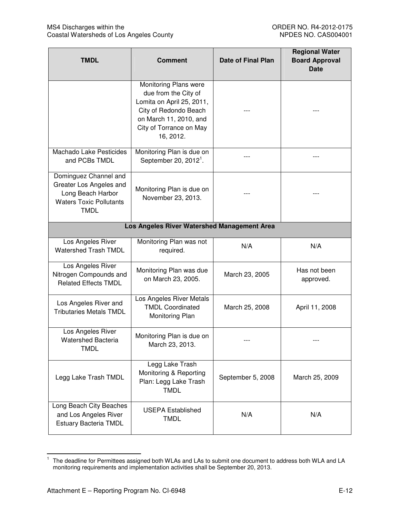| <b>TMDL</b>                                                                                                            | <b>Comment</b>                                                                                                                                                        | <b>Date of Final Plan</b> | <b>Regional Water</b><br><b>Board Approval</b><br><b>Date</b> |
|------------------------------------------------------------------------------------------------------------------------|-----------------------------------------------------------------------------------------------------------------------------------------------------------------------|---------------------------|---------------------------------------------------------------|
|                                                                                                                        | Monitoring Plans were<br>due from the City of<br>Lomita on April 25, 2011,<br>City of Redondo Beach<br>on March 11, 2010, and<br>City of Torrance on May<br>16, 2012. |                           |                                                               |
| Machado Lake Pesticides<br>and PCBs TMDL                                                                               | Monitoring Plan is due on<br>September 20, 2012 <sup>1</sup> .                                                                                                        |                           |                                                               |
| Dominguez Channel and<br>Greater Los Angeles and<br>Long Beach Harbor<br><b>Waters Toxic Pollutants</b><br><b>TMDL</b> | Monitoring Plan is due on<br>November 23, 2013.                                                                                                                       |                           |                                                               |
|                                                                                                                        | Los Angeles River Watershed Management Area                                                                                                                           |                           |                                                               |
| Los Angeles River<br>Watershed Trash TMDL                                                                              | Monitoring Plan was not<br>required.                                                                                                                                  | N/A                       | N/A                                                           |
| Los Angeles River<br>Nitrogen Compounds and<br><b>Related Effects TMDL</b>                                             | Monitoring Plan was due<br>on March 23, 2005.                                                                                                                         | March 23, 2005            | Has not been<br>approved.                                     |
| Los Angeles River and<br><b>Tributaries Metals TMDL</b>                                                                | Los Angeles River Metals<br><b>TMDL Coordinated</b><br>Monitoring Plan                                                                                                | March 25, 2008            | April 11, 2008                                                |
| Los Angeles River<br><b>Watershed Bacteria</b><br><b>TMDL</b>                                                          | Monitoring Plan is due on<br>March 23, 2013.                                                                                                                          |                           |                                                               |
| Legg Lake Trash TMDL                                                                                                   | Legg Lake Trash<br>Monitoring & Reporting<br>Plan: Legg Lake Trash<br><b>TMDL</b>                                                                                     | September 5, 2008         | March 25, 2009                                                |
| Long Beach City Beaches<br>and Los Angeles River<br><b>Estuary Bacteria TMDL</b>                                       | <b>USEPA Established</b><br><b>TMDL</b>                                                                                                                               | N/A                       | N/A                                                           |

 1 The deadline for Permittees assigned both WLAs and LAs to submit one document to address both WLA and LA monitoring requirements and implementation activities shall be September 20, 2013.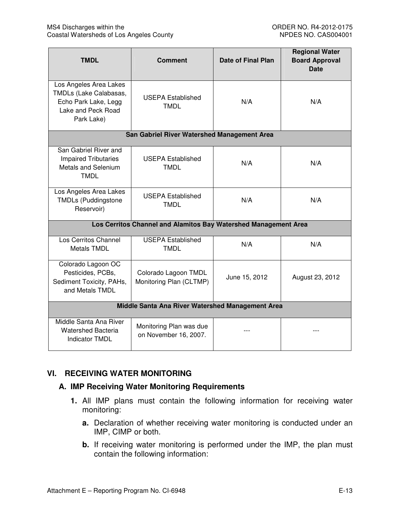| <b>TMDL</b>                                                                                                  | <b>Comment</b>                                   | <b>Date of Final Plan</b> | <b>Regional Water</b><br><b>Board Approval</b><br><b>Date</b> |
|--------------------------------------------------------------------------------------------------------------|--------------------------------------------------|---------------------------|---------------------------------------------------------------|
| Los Angeles Area Lakes<br>TMDLs (Lake Calabasas,<br>Echo Park Lake, Legg<br>Lake and Peck Road<br>Park Lake) | <b>USEPA Established</b><br>N/A<br>TMDL          |                           | N/A                                                           |
|                                                                                                              | San Gabriel River Watershed Management Area      |                           |                                                               |
| San Gabriel River and<br><b>Impaired Tributaries</b><br>Metals and Selenium<br><b>TMDL</b>                   | <b>USEPA Established</b><br><b>TMDL</b>          | N/A                       | N/A                                                           |
| Los Angeles Area Lakes<br><b>TMDLs (Puddingstone</b><br>Reservoir)                                           | <b>USEPA Established</b><br><b>TMDL</b>          | N/A                       | N/A                                                           |
| Los Cerritos Channel and Alamitos Bay Watershed Management Area                                              |                                                  |                           |                                                               |
| Los Cerritos Channel<br><b>Metals TMDL</b>                                                                   | <b>USEPA Established</b><br><b>TMDL</b>          | N/A                       | N/A                                                           |
| Colorado Lagoon OC<br>Pesticides, PCBs,<br>Sediment Toxicity, PAHs,<br>and Metals TMDL                       | Colorado Lagoon TMDL<br>Monitoring Plan (CLTMP)  | June 15, 2012             | August 23, 2012                                               |
| Middle Santa Ana River Watershed Management Area                                                             |                                                  |                           |                                                               |
| Middle Santa Ana River<br><b>Watershed Bacteria</b><br><b>Indicator TMDL</b>                                 | Monitoring Plan was due<br>on November 16, 2007. |                           |                                                               |

## **VI. RECEIVING WATER MONITORING**

### **A. IMP Receiving Water Monitoring Requirements**

- **1.** All IMP plans must contain the following information for receiving water monitoring:
	- **a.** Declaration of whether receiving water monitoring is conducted under an IMP, CIMP or both.
	- **b.** If receiving water monitoring is performed under the IMP, the plan must contain the following information: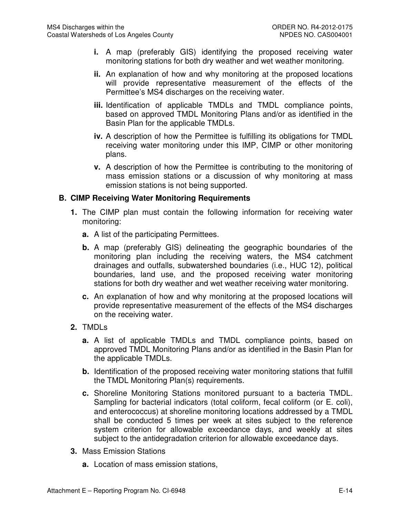- **i.** A map (preferably GIS) identifying the proposed receiving water monitoring stations for both dry weather and wet weather monitoring.
- **ii.** An explanation of how and why monitoring at the proposed locations will provide representative measurement of the effects of the Permittee's MS4 discharges on the receiving water.
- **iii.** Identification of applicable TMDLs and TMDL compliance points, based on approved TMDL Monitoring Plans and/or as identified in the Basin Plan for the applicable TMDLs.
- **iv.** A description of how the Permittee is fulfilling its obligations for TMDL receiving water monitoring under this IMP, CIMP or other monitoring plans.
- **v.** A description of how the Permittee is contributing to the monitoring of mass emission stations or a discussion of why monitoring at mass emission stations is not being supported.

### **B. CIMP Receiving Water Monitoring Requirements**

- **1.** The CIMP plan must contain the following information for receiving water monitoring:
	- **a.** A list of the participating Permittees.
	- **b.** A map (preferably GIS) delineating the geographic boundaries of the monitoring plan including the receiving waters, the MS4 catchment drainages and outfalls, subwatershed boundaries (i.e., HUC 12), political boundaries, land use, and the proposed receiving water monitoring stations for both dry weather and wet weather receiving water monitoring.
	- **c.** An explanation of how and why monitoring at the proposed locations will provide representative measurement of the effects of the MS4 discharges on the receiving water.
- **2.** TMDLs
	- **a.** A list of applicable TMDLs and TMDL compliance points, based on approved TMDL Monitoring Plans and/or as identified in the Basin Plan for the applicable TMDLs.
	- **b.** Identification of the proposed receiving water monitoring stations that fulfill the TMDL Monitoring Plan(s) requirements.
	- **c.** Shoreline Monitoring Stations monitored pursuant to a bacteria TMDL. Sampling for bacterial indicators (total coliform, fecal coliform (or E. coli), and enterococcus) at shoreline monitoring locations addressed by a TMDL shall be conducted 5 times per week at sites subject to the reference system criterion for allowable exceedance days, and weekly at sites subject to the antidegradation criterion for allowable exceedance days.
- **3.** Mass Emission Stations
	- **a.** Location of mass emission stations,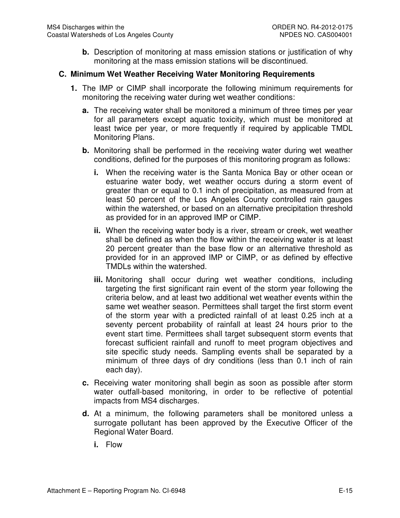**b.** Description of monitoring at mass emission stations or justification of why monitoring at the mass emission stations will be discontinued.

### **C. Minimum Wet Weather Receiving Water Monitoring Requirements**

- **1.** The IMP or CIMP shall incorporate the following minimum requirements for monitoring the receiving water during wet weather conditions:
	- **a.** The receiving water shall be monitored a minimum of three times per year for all parameters except aquatic toxicity, which must be monitored at least twice per year, or more frequently if required by applicable TMDL Monitoring Plans.
	- **b.** Monitoring shall be performed in the receiving water during wet weather conditions, defined for the purposes of this monitoring program as follows:
		- **i.** When the receiving water is the Santa Monica Bay or other ocean or estuarine water body, wet weather occurs during a storm event of greater than or equal to 0.1 inch of precipitation, as measured from at least 50 percent of the Los Angeles County controlled rain gauges within the watershed, or based on an alternative precipitation threshold as provided for in an approved IMP or CIMP.
		- **ii.** When the receiving water body is a river, stream or creek, wet weather shall be defined as when the flow within the receiving water is at least 20 percent greater than the base flow or an alternative threshold as provided for in an approved IMP or CIMP, or as defined by effective TMDLs within the watershed.
		- **iii.** Monitoring shall occur during wet weather conditions, including targeting the first significant rain event of the storm year following the criteria below, and at least two additional wet weather events within the same wet weather season. Permittees shall target the first storm event of the storm year with a predicted rainfall of at least 0.25 inch at a seventy percent probability of rainfall at least 24 hours prior to the event start time. Permittees shall target subsequent storm events that forecast sufficient rainfall and runoff to meet program objectives and site specific study needs. Sampling events shall be separated by a minimum of three days of dry conditions (less than 0.1 inch of rain each day).
	- **c.** Receiving water monitoring shall begin as soon as possible after storm water outfall-based monitoring, in order to be reflective of potential impacts from MS4 discharges.
	- **d.** At a minimum, the following parameters shall be monitored unless a surrogate pollutant has been approved by the Executive Officer of the Regional Water Board.
		- **i.** Flow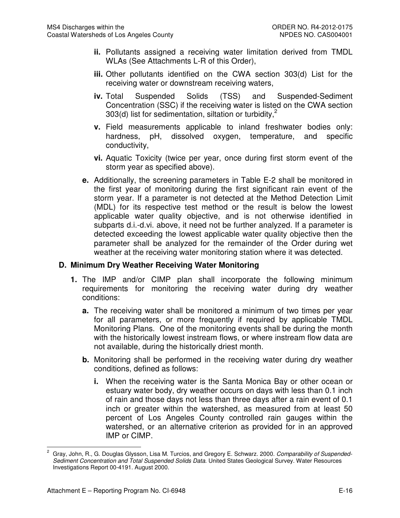- **ii.** Pollutants assigned a receiving water limitation derived from TMDL WLAs (See Attachments L-R of this Order),
- **iii.** Other pollutants identified on the CWA section 303(d) List for the receiving water or downstream receiving waters,
- **iv.** Total Suspended Solids (TSS) and Suspended-Sediment Concentration (SSC) if the receiving water is listed on the CWA section 303(d) list for sedimentation, siltation or turbidity,<sup>2</sup>
- **v.** Field measurements applicable to inland freshwater bodies only: hardness, pH, dissolved oxygen, temperature, and specific conductivity,
- **vi.** Aquatic Toxicity (twice per year, once during first storm event of the storm year as specified above).
- **e.** Additionally, the screening parameters in Table E-2 shall be monitored in the first year of monitoring during the first significant rain event of the storm year. If a parameter is not detected at the Method Detection Limit (MDL) for its respective test method or the result is below the lowest applicable water quality objective, and is not otherwise identified in subparts d.i.-d.vi. above, it need not be further analyzed. If a parameter is detected exceeding the lowest applicable water quality objective then the parameter shall be analyzed for the remainder of the Order during wet weather at the receiving water monitoring station where it was detected.

### **D. Minimum Dry Weather Receiving Water Monitoring**

- **1.** The IMP and/or CIMP plan shall incorporate the following minimum requirements for monitoring the receiving water during dry weather conditions:
	- **a.** The receiving water shall be monitored a minimum of two times per year for all parameters, or more frequently if required by applicable TMDL Monitoring Plans. One of the monitoring events shall be during the month with the historically lowest instream flows, or where instream flow data are not available, during the historically driest month.
	- **b.** Monitoring shall be performed in the receiving water during dry weather conditions, defined as follows:
		- **i.** When the receiving water is the Santa Monica Bay or other ocean or estuary water body, dry weather occurs on days with less than 0.1 inch of rain and those days not less than three days after a rain event of 0.1 inch or greater within the watershed, as measured from at least 50 percent of Los Angeles County controlled rain gauges within the watershed, or an alternative criterion as provided for in an approved IMP or CIMP.

 $\overline{a}$ 2 Gray, John, R., G. Douglas Glysson, Lisa M. Turcios, and Gregory E. Schwarz. 2000. Comparability of Suspended-Sediment Concentration and Total Suspended Solids Data. United States Geological Survey. Water Resources Investigations Report 00-4191. August 2000.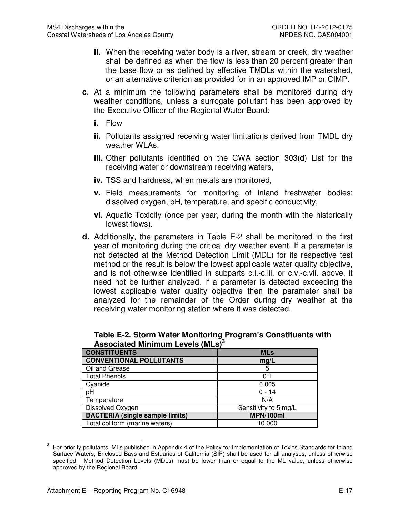- **ii.** When the receiving water body is a river, stream or creek, dry weather shall be defined as when the flow is less than 20 percent greater than the base flow or as defined by effective TMDLs within the watershed, or an alternative criterion as provided for in an approved IMP or CIMP.
- **c.** At a minimum the following parameters shall be monitored during dry weather conditions, unless a surrogate pollutant has been approved by the Executive Officer of the Regional Water Board:
	- **i.** Flow
	- **ii.** Pollutants assigned receiving water limitations derived from TMDL dry weather WLAs,
	- **iii.** Other pollutants identified on the CWA section 303(d) List for the receiving water or downstream receiving waters,
	- **iv.** TSS and hardness, when metals are monitored,
	- **v.** Field measurements for monitoring of inland freshwater bodies: dissolved oxygen, pH, temperature, and specific conductivity,
	- **vi.** Aquatic Toxicity (once per year, during the month with the historically lowest flows).
- **d.** Additionally, the parameters in Table E-2 shall be monitored in the first year of monitoring during the critical dry weather event. If a parameter is not detected at the Method Detection Limit (MDL) for its respective test method or the result is below the lowest applicable water quality objective, and is not otherwise identified in subparts c.i.-c.iii. or c.v.-c.vii. above, it need not be further analyzed. If a parameter is detected exceeding the lowest applicable water quality objective then the parameter shall be analyzed for the remainder of the Order during dry weather at the receiving water monitoring station where it was detected.

| <b>CONSTITUENTS</b>                    | <b>MLs</b>            |
|----------------------------------------|-----------------------|
| <b>CONVENTIONAL POLLUTANTS</b>         | mg/L                  |
| Oil and Grease                         | 5                     |
| <b>Total Phenols</b>                   | 0.1                   |
| Cyanide                                | 0.005                 |
| pН                                     | $0 - 14$              |
| Temperature                            | N/A                   |
| Dissolved Oxygen                       | Sensitivity to 5 mg/L |
| <b>BACTERIA (single sample limits)</b> | MPN/100ml             |
| Total coliform (marine waters)         | 10,000                |

|                                                     | Table E-2. Storm Water Monitoring Program's Constituents with |
|-----------------------------------------------------|---------------------------------------------------------------|
| <b>Associated Minimum Levels (MLs)</b> <sup>3</sup> |                                                               |

 $\overline{\phantom{a}}$ 

<sup>3</sup> For priority pollutants, MLs published in Appendix 4 of the Policy for Implementation of Toxics Standards for Inland Surface Waters, Enclosed Bays and Estuaries of California (SIP) shall be used for all analyses, unless otherwise specified. Method Detection Levels (MDLs) must be lower than or equal to the ML value, unless otherwise approved by the Regional Board.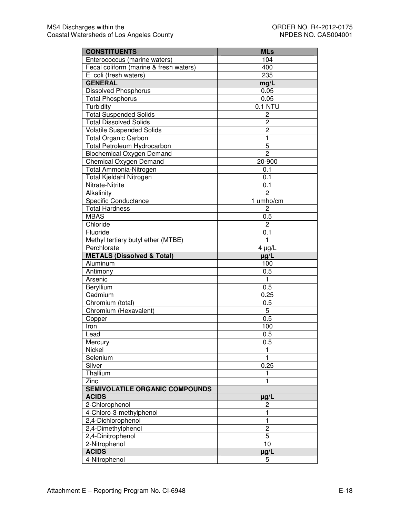| <b>CONSTITUENTS</b>                    | <b>MLs</b>       |
|----------------------------------------|------------------|
| Enterococcus (marine waters)           | 104              |
| Fecal coliform (marine & fresh waters) | 400              |
| E. coli (fresh waters)                 | 235              |
| <b>GENERAL</b>                         | mg/L             |
| <b>Dissolved Phosphorus</b>            | 0.05             |
| <b>Total Phosphorus</b>                | 0.05             |
| Turbidity                              | 0.1 NTU          |
| <b>Total Suspended Solids</b>          | 2                |
| <b>Total Dissolved Solids</b>          | 2                |
| <b>Volatile Suspended Solids</b>       | $\overline{2}$   |
| Total Organic Carbon                   | $\mathbf{1}$     |
| Total Petroleum Hydrocarbon            | 5                |
| <b>Biochemical Oxygen Demand</b>       | $\overline{2}$   |
| Chemical Oxygen Demand                 | 20-900           |
| Total Ammonia-Nitrogen                 | 0.1              |
| <b>Total Kjeldahl Nitrogen</b>         | 0.1              |
| Nitrate-Nitrite                        | 0.1              |
| Alkalinity                             | $\overline{2}$   |
| <b>Specific Conductance</b>            | 1 umho/cm        |
| <b>Total Hardness</b>                  | 2                |
| <b>MBAS</b>                            | 0.5              |
| Chloride                               | $\overline{c}$   |
| Fluoride                               | 0.1              |
| Methyl tertiary butyl ether (MTBE)     | $\mathbf{1}$     |
| Perchlorate                            | $4 \mu g/L$      |
| <b>METALS (Dissolved &amp; Total)</b>  | $\mu g/L$        |
| Aluminum                               | 100              |
| Antimony                               | 0.5              |
| Arsenic                                | 1                |
| Beryllium                              | 0.5              |
| Cadmium                                | 0.25             |
| Chromium (total)                       | 0.5              |
| Chromium (Hexavalent)                  | 5                |
| Copper                                 | $\overline{0.5}$ |
| Iron                                   | 100              |
| Lead                                   | 0.5              |
| Mercury                                | 0.5              |
| Nickel                                 | 1                |
| Selenium                               | 1                |
| Silver                                 | 0.25             |
| Thallium                               | 1                |
| Zinc                                   | 1                |
| <b>SEMIVOLATILE ORGANIC COMPOUNDS</b>  |                  |
| <b>ACIDS</b>                           | $\mu$ g/L        |
| 2-Chlorophenol                         | 2                |
| 4-Chloro-3-methylphenol                | 1                |
| 2.4-Dichlorophenol                     | 1                |
| 2,4-Dimethylphenol                     | $\overline{c}$   |
| 2,4-Dinitrophenol                      | 5                |
| 2-Nitrophenol                          | 10               |
| <b>ACIDS</b>                           | $\mu$ g/L        |
| 4-Nitrophenol                          | 5                |
|                                        |                  |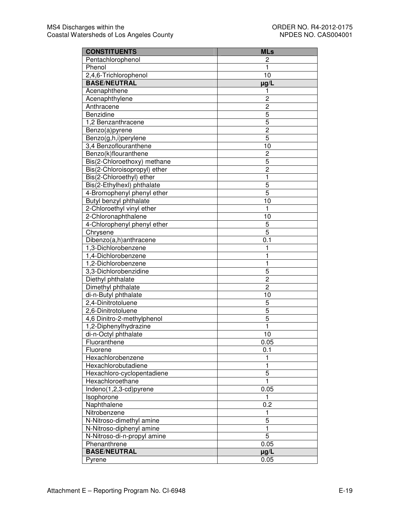| <b>CONSTITUENTS</b>          | <b>MLs</b>     |
|------------------------------|----------------|
| Pentachlorophenol            | 2              |
| Phenol                       | 1              |
| 2,4,6-Trichlorophenol        | 10             |
| <b>BASE/NEUTRAL</b>          | ug/L           |
| Acenaphthene                 | 1              |
| Acenaphthylene               | $\overline{c}$ |
| Anthracene                   | $\overline{c}$ |
| Benzidine                    | 5              |
| 1,2 Benzanthracene           | 5              |
| Benzo(a)pyrene               | $\overline{c}$ |
| Benzo(g,h,i)perylene         | 5              |
| 3,4 Benzoflouranthene        | 10             |
| Benzo(k)flouranthene         | 2              |
| Bis(2-Chloroethoxy) methane  | 5              |
| Bis(2-Chloroisopropyl) ether | $\overline{c}$ |
| Bis(2-Chloroethyl) ether     | $\mathbf{1}$   |
| Bis(2-Ethylhexl) phthalate   | 5              |
| 4-Bromophenyl phenyl ether   | 5              |
| Butyl benzyl phthalate       | 10             |
| 2-Chloroethyl vinyl ether    | $\mathbf{1}$   |
| 2-Chloronaphthalene          | 10             |
| 4-Chlorophenyl phenyl ether  | 5              |
| Chrysene                     | 5              |
| Dibenzo(a,h)anthracene       | 0.1            |
| 1,3-Dichlorobenzene          | 1              |
| 1,4-Dichlorobenzene          | 1              |
| 1,2-Dichlorobenzene          | 1              |
| 3,3-Dichlorobenzidine        | 5              |
| Diethyl phthalate            | $\overline{c}$ |
| Dimethyl phthalate           | $\overline{2}$ |
| di-n-Butyl phthalate         | 10             |
| 2,4-Dinitrotoluene           | 5              |
| 2,6-Dinitrotoluene           | 5              |
| 4,6 Dinitro-2-methylphenol   | 5              |
| 1,2-Diphenylhydrazine        | $\mathbf{1}$   |
| di-n-Octyl phthalate         | 10             |
| Fluoranthene                 | 0.05           |
| Fluorene                     | 0.1            |
| Hexachlorobenzene            | 1              |
| Hexachlorobutadiene          | $\mathbf{1}$   |
| Hexachloro-cyclopentadiene   | 5              |
| Hexachloroethane             | $\mathbf{1}$   |
| Indeno(1,2,3-cd)pyrene       | 0.05           |
| Isophorone                   | 1              |
| Naphthalene                  | 0.2            |
| Nitrobenzene                 | 1              |
| N-Nitroso-dimethyl amine     | 5              |
| N-Nitroso-diphenyl amine     | $\mathbf{1}$   |
| N-Nitroso-di-n-propyl amine  | 5              |
| Phenanthrene                 | 0.05           |
| <b>BASE/NEUTRAL</b>          | $\mu$ g/L      |
| Pyrene                       | 0.05           |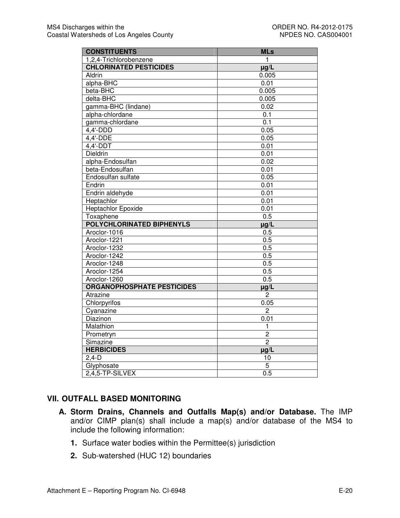| <b>CONSTITUENTS</b>               | <b>MLs</b>     |
|-----------------------------------|----------------|
| 1,2,4-Trichlorobenzene            | 1              |
| <b>CHLORINATED PESTICIDES</b>     | $\mu$ g/L      |
| Aldrin                            | 0.005          |
| alpha-BHC                         | 0.01           |
| beta-BHC                          | 0.005          |
| delta-BHC                         | 0.005          |
| gamma-BHC (lindane)               | 0.02           |
| alpha-chlordane                   | 0.1            |
| gamma-chlordane                   | 0.1            |
| $4,4'-DDD$                        | 0.05           |
| 4,4'-DDE                          | 0.05           |
| 4,4'-DDT                          | 0.01           |
| Dieldrin                          | 0.01           |
| alpha-Endosulfan                  | 0.02           |
| beta-Endosulfan                   | 0.01           |
| Endosulfan sulfate                | 0.05           |
| Endrin                            | 0.01           |
| Endrin aldehyde                   | 0.01           |
| Heptachlor                        | 0.01           |
| <b>Heptachlor Epoxide</b>         | 0.01           |
| Toxaphene                         | 0.5            |
| POLYCHLORINATED BIPHENYLS         | $\mu g/L$      |
| Aroclor-1016                      | 0.5            |
| Aroclor-1221                      | 0.5            |
| Aroclor-1232                      | 0.5            |
| Aroclor-1242                      | 0.5            |
| Aroclor-1248                      | 0.5            |
| Aroclor-1254                      | 0.5            |
| Aroclor-1260                      | 0.5            |
| <b>ORGANOPHOSPHATE PESTICIDES</b> | $\mu$ g/L      |
| Atrazine                          | $\overline{c}$ |
| Chlorpyrifos                      | 0.05           |
| Cyanazine                         | $\overline{c}$ |
| Diazinon                          | 0.01           |
| Malathion                         | 1              |
| Prometryn                         | $\overline{2}$ |
| Simazine                          | $\overline{2}$ |
| <b>HERBICIDES</b>                 | $\mu g/L$      |
| $2,4-D$                           | 10             |
| Glyphosate                        | 5              |
| 2,4,5-TP-SILVEX                   | 0.5            |

## **VII. OUTFALL BASED MONITORING**

- **A. Storm Drains, Channels and Outfalls Map(s) and/or Database.** The IMP and/or CIMP plan(s) shall include a map(s) and/or database of the MS4 to include the following information:
	- **1.** Surface water bodies within the Permittee(s) jurisdiction
	- **2.** Sub-watershed (HUC 12) boundaries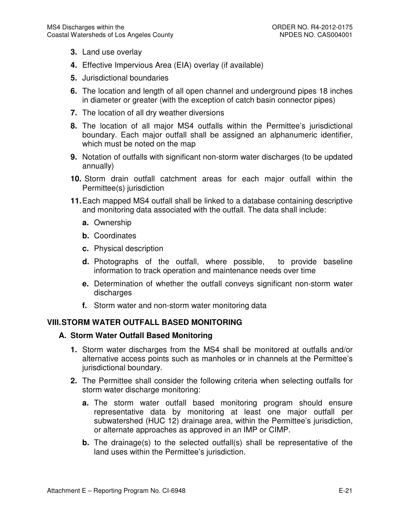- **3.** Land use overlay
- **4.** Effective Impervious Area (EIA) overlay (if available)
- **5.** Jurisdictional boundaries
- **6.** The location and length of all open channel and underground pipes 18 inches in diameter or greater (with the exception of catch basin connector pipes)
- **7.** The location of all dry weather diversions
- **8.** The location of all major MS4 outfalls within the Permittee's jurisdictional boundary. Each major outfall shall be assigned an alphanumeric identifier, which must be noted on the map
- **9.** Notation of outfalls with significant non-storm water discharges (to be updated annually)
- **10.** Storm drain outfall catchment areas for each major outfall within the Permittee(s) jurisdiction
- **11.** Each mapped MS4 outfall shall be linked to a database containing descriptive and monitoring data associated with the outfall. The data shall include:
	- **a.** Ownership
	- **b.** Coordinates
	- **c.** Physical description
	- **d.** Photographs of the outfall, where possible, to provide baseline information to track operation and maintenance needs over time
	- **e.** Determination of whether the outfall conveys significant non-storm water discharges
	- **f.** Storm water and non-storm water monitoring data

### **VIII. STORM WATER OUTFALL BASED MONITORING**

#### **A. Storm Water Outfall Based Monitoring**

- **1.** Storm water discharges from the MS4 shall be monitored at outfalls and/or alternative access points such as manholes or in channels at the Permittee's jurisdictional boundary.
- **2.** The Permittee shall consider the following criteria when selecting outfalls for storm water discharge monitoring:
	- **a.** The storm water outfall based monitoring program should ensure representative data by monitoring at least one major outfall per subwatershed (HUC 12) drainage area, within the Permittee's jurisdiction, or alternate approaches as approved in an IMP or CIMP.
	- **b.** The drainage(s) to the selected outfall(s) shall be representative of the land uses within the Permittee's jurisdiction.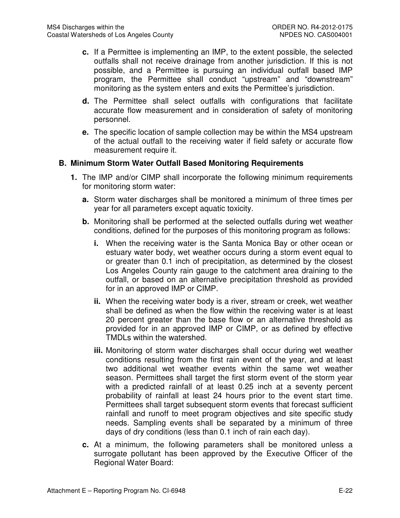- **c.** If a Permittee is implementing an IMP, to the extent possible, the selected outfalls shall not receive drainage from another jurisdiction. If this is not possible, and a Permittee is pursuing an individual outfall based IMP program, the Permittee shall conduct "upstream" and "downstream" monitoring as the system enters and exits the Permittee's jurisdiction.
- **d.** The Permittee shall select outfalls with configurations that facilitate accurate flow measurement and in consideration of safety of monitoring personnel.
- **e.** The specific location of sample collection may be within the MS4 upstream of the actual outfall to the receiving water if field safety or accurate flow measurement require it.

## **B. Minimum Storm Water Outfall Based Monitoring Requirements**

- **1.** The IMP and/or CIMP shall incorporate the following minimum requirements for monitoring storm water:
	- **a.** Storm water discharges shall be monitored a minimum of three times per year for all parameters except aquatic toxicity.
	- **b.** Monitoring shall be performed at the selected outfalls during wet weather conditions, defined for the purposes of this monitoring program as follows:
		- **i.** When the receiving water is the Santa Monica Bay or other ocean or estuary water body, wet weather occurs during a storm event equal to or greater than 0.1 inch of precipitation, as determined by the closest Los Angeles County rain gauge to the catchment area draining to the outfall, or based on an alternative precipitation threshold as provided for in an approved IMP or CIMP.
		- **ii.** When the receiving water body is a river, stream or creek, wet weather shall be defined as when the flow within the receiving water is at least 20 percent greater than the base flow or an alternative threshold as provided for in an approved IMP or CIMP, or as defined by effective TMDLs within the watershed.
		- **iii.** Monitoring of storm water discharges shall occur during wet weather conditions resulting from the first rain event of the year, and at least two additional wet weather events within the same wet weather season. Permittees shall target the first storm event of the storm year with a predicted rainfall of at least 0.25 inch at a seventy percent probability of rainfall at least 24 hours prior to the event start time. Permittees shall target subsequent storm events that forecast sufficient rainfall and runoff to meet program objectives and site specific study needs. Sampling events shall be separated by a minimum of three days of dry conditions (less than 0.1 inch of rain each day).
	- **c.** At a minimum, the following parameters shall be monitored unless a surrogate pollutant has been approved by the Executive Officer of the Regional Water Board: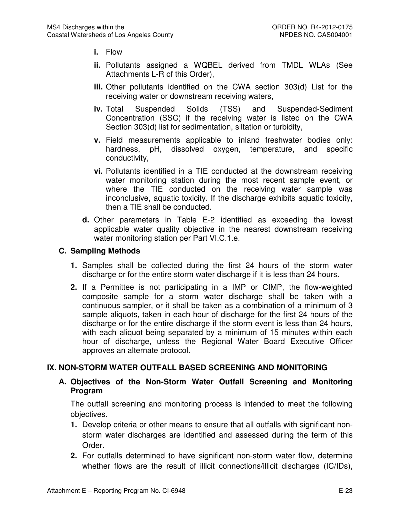- **i.** Flow
- **ii.** Pollutants assigned a WQBEL derived from TMDL WLAs (See Attachments L-R of this Order),
- **iii.** Other pollutants identified on the CWA section 303(d) List for the receiving water or downstream receiving waters,
- **iv.** Total Suspended Solids (TSS) and Suspended-Sediment Concentration (SSC) if the receiving water is listed on the CWA Section 303(d) list for sedimentation, siltation or turbidity,
- **v.** Field measurements applicable to inland freshwater bodies only: hardness, pH, dissolved oxygen, temperature, and specific conductivity,
- **vi.** Pollutants identified in a TIE conducted at the downstream receiving water monitoring station during the most recent sample event, or where the TIE conducted on the receiving water sample was inconclusive, aquatic toxicity. If the discharge exhibits aquatic toxicity, then a TIE shall be conducted.
- **d.** Other parameters in Table E-2 identified as exceeding the lowest applicable water quality objective in the nearest downstream receiving water monitoring station per Part VI.C.1.e.

## **C. Sampling Methods**

- **1.** Samples shall be collected during the first 24 hours of the storm water discharge or for the entire storm water discharge if it is less than 24 hours.
- **2.** If a Permittee is not participating in a IMP or CIMP, the flow-weighted composite sample for a storm water discharge shall be taken with a continuous sampler, or it shall be taken as a combination of a minimum of 3 sample aliquots, taken in each hour of discharge for the first 24 hours of the discharge or for the entire discharge if the storm event is less than 24 hours, with each aliquot being separated by a minimum of 15 minutes within each hour of discharge, unless the Regional Water Board Executive Officer approves an alternate protocol.

## **IX. NON-STORM WATER OUTFALL BASED SCREENING AND MONITORING**

### **A. Objectives of the Non-Storm Water Outfall Screening and Monitoring Program**

The outfall screening and monitoring process is intended to meet the following objectives.

- **1.** Develop criteria or other means to ensure that all outfalls with significant nonstorm water discharges are identified and assessed during the term of this Order.
- **2.** For outfalls determined to have significant non-storm water flow, determine whether flows are the result of illicit connections/illicit discharges (IC/IDs),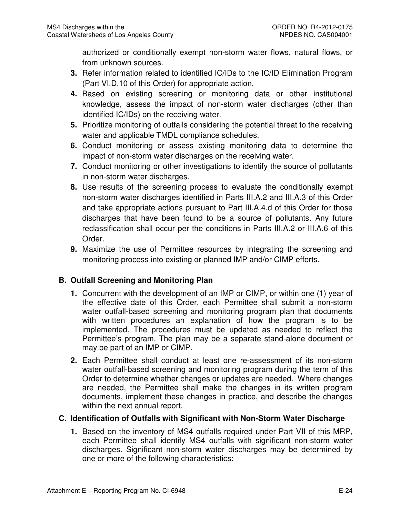authorized or conditionally exempt non-storm water flows, natural flows, or from unknown sources.

- **3.** Refer information related to identified IC/IDs to the IC/ID Elimination Program (Part VI.D.10 of this Order) for appropriate action.
- **4.** Based on existing screening or monitoring data or other institutional knowledge, assess the impact of non-storm water discharges (other than identified IC/IDs) on the receiving water.
- **5.** Prioritize monitoring of outfalls considering the potential threat to the receiving water and applicable TMDL compliance schedules.
- **6.** Conduct monitoring or assess existing monitoring data to determine the impact of non-storm water discharges on the receiving water.
- **7.** Conduct monitoring or other investigations to identify the source of pollutants in non-storm water discharges.
- **8.** Use results of the screening process to evaluate the conditionally exempt non-storm water discharges identified in Parts III.A.2 and III.A.3 of this Order and take appropriate actions pursuant to Part III.A.4.d of this Order for those discharges that have been found to be a source of pollutants. Any future reclassification shall occur per the conditions in Parts III.A.2 or III.A.6 of this Order.
- **9.** Maximize the use of Permittee resources by integrating the screening and monitoring process into existing or planned IMP and/or CIMP efforts.

## **B. Outfall Screening and Monitoring Plan**

- **1.** Concurrent with the development of an IMP or CIMP, or within one (1) year of the effective date of this Order, each Permittee shall submit a non-storm water outfall-based screening and monitoring program plan that documents with written procedures an explanation of how the program is to be implemented. The procedures must be updated as needed to reflect the Permittee's program. The plan may be a separate stand-alone document or may be part of an IMP or CIMP.
- **2.** Each Permittee shall conduct at least one re-assessment of its non-storm water outfall-based screening and monitoring program during the term of this Order to determine whether changes or updates are needed. Where changes are needed, the Permittee shall make the changes in its written program documents, implement these changes in practice, and describe the changes within the next annual report.

## **C. Identification of Outfalls with Significant with Non-Storm Water Discharge**

**1.** Based on the inventory of MS4 outfalls required under Part VII of this MRP, each Permittee shall identify MS4 outfalls with significant non-storm water discharges. Significant non-storm water discharges may be determined by one or more of the following characteristics: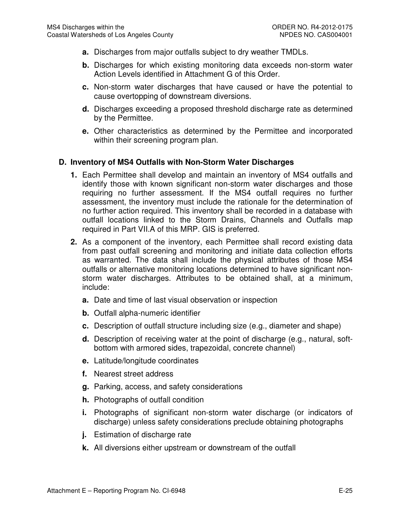- **a.** Discharges from major outfalls subject to dry weather TMDLs.
- **b.** Discharges for which existing monitoring data exceeds non-storm water Action Levels identified in Attachment G of this Order.
- **c.** Non-storm water discharges that have caused or have the potential to cause overtopping of downstream diversions.
- **d.** Discharges exceeding a proposed threshold discharge rate as determined by the Permittee.
- **e.** Other characteristics as determined by the Permittee and incorporated within their screening program plan.

### **D. Inventory of MS4 Outfalls with Non-Storm Water Discharges**

- **1.** Each Permittee shall develop and maintain an inventory of MS4 outfalls and identify those with known significant non-storm water discharges and those requiring no further assessment. If the MS4 outfall requires no further assessment, the inventory must include the rationale for the determination of no further action required. This inventory shall be recorded in a database with outfall locations linked to the Storm Drains, Channels and Outfalls map required in Part VII.A of this MRP. GIS is preferred.
- **2.** As a component of the inventory, each Permittee shall record existing data from past outfall screening and monitoring and initiate data collection efforts as warranted. The data shall include the physical attributes of those MS4 outfalls or alternative monitoring locations determined to have significant nonstorm water discharges. Attributes to be obtained shall, at a minimum, include:
	- **a.** Date and time of last visual observation or inspection
	- **b.** Outfall alpha-numeric identifier
	- **c.** Description of outfall structure including size (e.g., diameter and shape)
	- **d.** Description of receiving water at the point of discharge (e.g., natural, softbottom with armored sides, trapezoidal, concrete channel)
	- **e.** Latitude/longitude coordinates
	- **f.** Nearest street address
	- **g.** Parking, access, and safety considerations
	- **h.** Photographs of outfall condition
	- **i.** Photographs of significant non-storm water discharge (or indicators of discharge) unless safety considerations preclude obtaining photographs
	- **j.** Estimation of discharge rate
	- **k.** All diversions either upstream or downstream of the outfall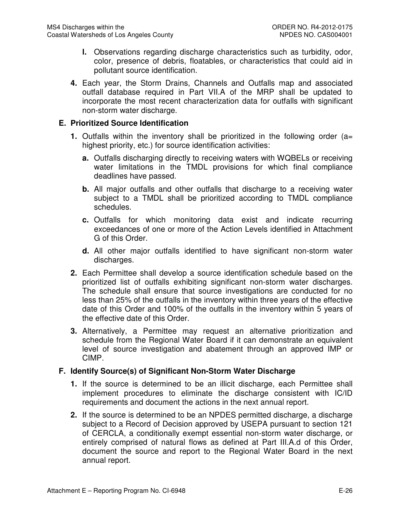- **l.** Observations regarding discharge characteristics such as turbidity, odor, color, presence of debris, floatables, or characteristics that could aid in pollutant source identification.
- **4.** Each year, the Storm Drains, Channels and Outfalls map and associated outfall database required in Part VII.A of the MRP shall be updated to incorporate the most recent characterization data for outfalls with significant non-storm water discharge.

### **E. Prioritized Source Identification**

- **1.** Outfalls within the inventory shall be prioritized in the following order (a= highest priority, etc.) for source identification activities:
	- **a.** Outfalls discharging directly to receiving waters with WQBELs or receiving water limitations in the TMDL provisions for which final compliance deadlines have passed.
	- **b.** All major outfalls and other outfalls that discharge to a receiving water subject to a TMDL shall be prioritized according to TMDL compliance schedules.
	- **c.** Outfalls for which monitoring data exist and indicate recurring exceedances of one or more of the Action Levels identified in Attachment G of this Order.
	- **d.** All other major outfalls identified to have significant non-storm water discharges.
- **2.** Each Permittee shall develop a source identification schedule based on the prioritized list of outfalls exhibiting significant non-storm water discharges. The schedule shall ensure that source investigations are conducted for no less than 25% of the outfalls in the inventory within three years of the effective date of this Order and 100% of the outfalls in the inventory within 5 years of the effective date of this Order.
- **3.** Alternatively, a Permittee may request an alternative prioritization and schedule from the Regional Water Board if it can demonstrate an equivalent level of source investigation and abatement through an approved IMP or CIMP.

### **F. Identify Source(s) of Significant Non-Storm Water Discharge**

- **1.** If the source is determined to be an illicit discharge, each Permittee shall implement procedures to eliminate the discharge consistent with IC/ID requirements and document the actions in the next annual report.
- **2.** If the source is determined to be an NPDES permitted discharge, a discharge subject to a Record of Decision approved by USEPA pursuant to section 121 of CERCLA, a conditionally exempt essential non-storm water discharge, or entirely comprised of natural flows as defined at Part III.A.d of this Order, document the source and report to the Regional Water Board in the next annual report.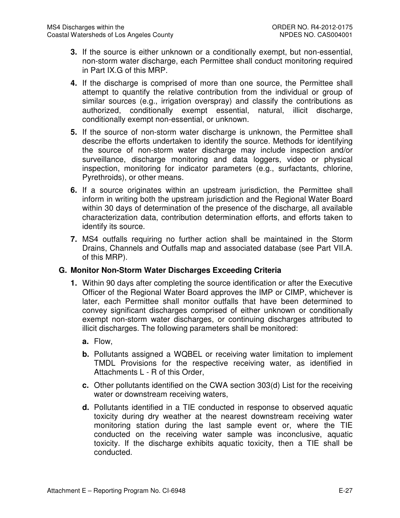- **3.** If the source is either unknown or a conditionally exempt, but non-essential, non-storm water discharge, each Permittee shall conduct monitoring required in Part IX.G of this MRP.
- **4.** If the discharge is comprised of more than one source, the Permittee shall attempt to quantify the relative contribution from the individual or group of similar sources (e.g., irrigation overspray) and classify the contributions as authorized, conditionally exempt essential, natural, illicit discharge, conditionally exempt non-essential, or unknown.
- **5.** If the source of non-storm water discharge is unknown, the Permittee shall describe the efforts undertaken to identify the source. Methods for identifying the source of non-storm water discharge may include inspection and/or surveillance, discharge monitoring and data loggers, video or physical inspection, monitoring for indicator parameters (e.g., surfactants, chlorine, Pyrethroids), or other means.
- **6.** If a source originates within an upstream jurisdiction, the Permittee shall inform in writing both the upstream jurisdiction and the Regional Water Board within 30 days of determination of the presence of the discharge, all available characterization data, contribution determination efforts, and efforts taken to identify its source.
- **7.** MS4 outfalls requiring no further action shall be maintained in the Storm Drains, Channels and Outfalls map and associated database (see Part VII.A. of this MRP).

## **G. Monitor Non-Storm Water Discharges Exceeding Criteria**

- **1.** Within 90 days after completing the source identification or after the Executive Officer of the Regional Water Board approves the IMP or CIMP, whichever is later, each Permittee shall monitor outfalls that have been determined to convey significant discharges comprised of either unknown or conditionally exempt non-storm water discharges, or continuing discharges attributed to illicit discharges. The following parameters shall be monitored:
	- **a.** Flow,
	- **b.** Pollutants assigned a WQBEL or receiving water limitation to implement TMDL Provisions for the respective receiving water, as identified in Attachments L - R of this Order,
	- **c.** Other pollutants identified on the CWA section 303(d) List for the receiving water or downstream receiving waters,
	- **d.** Pollutants identified in a TIE conducted in response to observed aquatic toxicity during dry weather at the nearest downstream receiving water monitoring station during the last sample event or, where the TIE conducted on the receiving water sample was inconclusive, aquatic toxicity. If the discharge exhibits aquatic toxicity, then a TIE shall be conducted.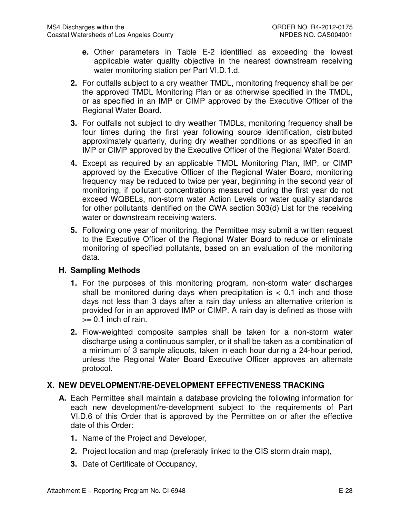- **e.** Other parameters in Table E-2 identified as exceeding the lowest applicable water quality objective in the nearest downstream receiving water monitoring station per Part VI.D.1.d.
- **2.** For outfalls subject to a dry weather TMDL, monitoring frequency shall be per the approved TMDL Monitoring Plan or as otherwise specified in the TMDL, or as specified in an IMP or CIMP approved by the Executive Officer of the Regional Water Board.
- **3.** For outfalls not subject to dry weather TMDLs, monitoring frequency shall be four times during the first year following source identification, distributed approximately quarterly, during dry weather conditions or as specified in an IMP or CIMP approved by the Executive Officer of the Regional Water Board.
- **4.** Except as required by an applicable TMDL Monitoring Plan, IMP, or CIMP approved by the Executive Officer of the Regional Water Board, monitoring frequency may be reduced to twice per year, beginning in the second year of monitoring, if pollutant concentrations measured during the first year do not exceed WQBELs, non-storm water Action Levels or water quality standards for other pollutants identified on the CWA section 303(d) List for the receiving water or downstream receiving waters.
- **5.** Following one year of monitoring, the Permittee may submit a written request to the Executive Officer of the Regional Water Board to reduce or eliminate monitoring of specified pollutants, based on an evaluation of the monitoring data.

## **H. Sampling Methods**

- **1.** For the purposes of this monitoring program, non-storm water discharges shall be monitored during days when precipitation is  $< 0.1$  inch and those days not less than 3 days after a rain day unless an alternative criterion is provided for in an approved IMP or CIMP. A rain day is defined as those with  $>= 0.1$  inch of rain.
- **2.** Flow-weighted composite samples shall be taken for a non-storm water discharge using a continuous sampler, or it shall be taken as a combination of a minimum of 3 sample aliquots, taken in each hour during a 24-hour period, unless the Regional Water Board Executive Officer approves an alternate protocol.

## **X. NEW DEVELOPMENT/RE-DEVELOPMENT EFFECTIVENESS TRACKING**

- **A.** Each Permittee shall maintain a database providing the following information for each new development/re-development subject to the requirements of Part VI.D.6 of this Order that is approved by the Permittee on or after the effective date of this Order:
	- **1.** Name of the Project and Developer,
	- **2.** Project location and map (preferably linked to the GIS storm drain map),
	- **3.** Date of Certificate of Occupancy,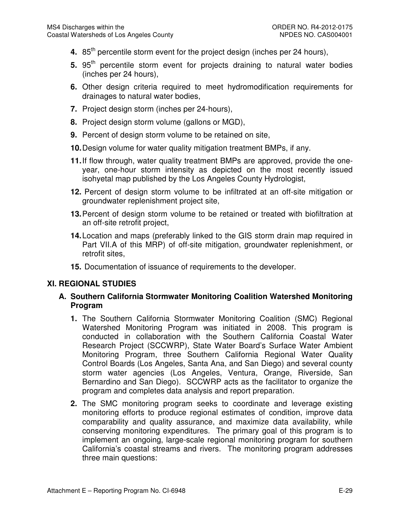- **4.** 85<sup>th</sup> percentile storm event for the project design (inches per 24 hours),
- **5.** 95<sup>th</sup> percentile storm event for projects draining to natural water bodies (inches per 24 hours),
- **6.** Other design criteria required to meet hydromodification requirements for drainages to natural water bodies,
- **7.** Project design storm (inches per 24-hours),
- **8.** Project design storm volume (gallons or MGD),
- **9.** Percent of design storm volume to be retained on site,
- **10.** Design volume for water quality mitigation treatment BMPs, if any.
- **11.** If flow through, water quality treatment BMPs are approved, provide the oneyear, one-hour storm intensity as depicted on the most recently issued isohyetal map published by the Los Angeles County Hydrologist,
- **12.** Percent of design storm volume to be infiltrated at an off-site mitigation or groundwater replenishment project site,
- **13.** Percent of design storm volume to be retained or treated with biofiltration at an off-site retrofit project,
- **14.** Location and maps (preferably linked to the GIS storm drain map required in Part VII.A of this MRP) of off-site mitigation, groundwater replenishment, or retrofit sites,
- **15.** Documentation of issuance of requirements to the developer.

## **XI. REGIONAL STUDIES**

### **A. Southern California Stormwater Monitoring Coalition Watershed Monitoring Program**

- **1.** The Southern California Stormwater Monitoring Coalition (SMC) Regional Watershed Monitoring Program was initiated in 2008. This program is conducted in collaboration with the Southern California Coastal Water Research Project (SCCWRP), State Water Board's Surface Water Ambient Monitoring Program, three Southern California Regional Water Quality Control Boards (Los Angeles, Santa Ana, and San Diego) and several county storm water agencies (Los Angeles, Ventura, Orange, Riverside, San Bernardino and San Diego). SCCWRP acts as the facilitator to organize the program and completes data analysis and report preparation.
- **2.** The SMC monitoring program seeks to coordinate and leverage existing monitoring efforts to produce regional estimates of condition, improve data comparability and quality assurance, and maximize data availability, while conserving monitoring expenditures. The primary goal of this program is to implement an ongoing, large-scale regional monitoring program for southern California's coastal streams and rivers. The monitoring program addresses three main questions: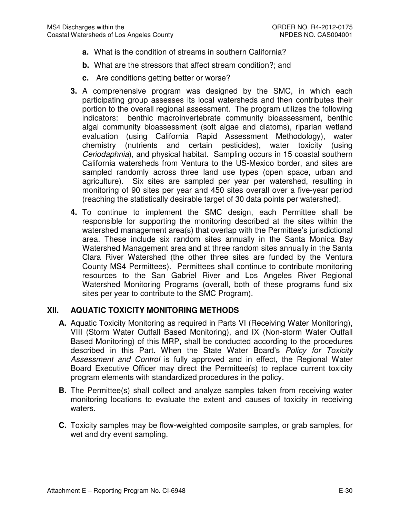- **a.** What is the condition of streams in southern California?
- **b.** What are the stressors that affect stream condition?; and
- **c.** Are conditions getting better or worse?
- **3.** A comprehensive program was designed by the SMC, in which each participating group assesses its local watersheds and then contributes their portion to the overall regional assessment. The program utilizes the following indicators: benthic macroinvertebrate community bioassessment, benthic algal community bioassessment (soft algae and diatoms), riparian wetland evaluation (using California Rapid Assessment Methodology), water chemistry (nutrients and certain pesticides), water toxicity (using Ceriodaphnia), and physical habitat. Sampling occurs in 15 coastal southern California watersheds from Ventura to the US-Mexico border, and sites are sampled randomly across three land use types (open space, urban and agriculture). Six sites are sampled per year per watershed, resulting in monitoring of 90 sites per year and 450 sites overall over a five-year period (reaching the statistically desirable target of 30 data points per watershed).
- **4.** To continue to implement the SMC design, each Permittee shall be responsible for supporting the monitoring described at the sites within the watershed management area(s) that overlap with the Permittee's jurisdictional area. These include six random sites annually in the Santa Monica Bay Watershed Management area and at three random sites annually in the Santa Clara River Watershed (the other three sites are funded by the Ventura County MS4 Permittees). Permittees shall continue to contribute monitoring resources to the San Gabriel River and Los Angeles River Regional Watershed Monitoring Programs (overall, both of these programs fund six sites per year to contribute to the SMC Program).

## **XII. AQUATIC TOXICITY MONITORING METHODS**

- **A.** Aquatic Toxicity Monitoring as required in Parts VI (Receiving Water Monitoring), VIII (Storm Water Outfall Based Monitoring), and IX (Non-storm Water Outfall Based Monitoring) of this MRP, shall be conducted according to the procedures described in this Part. When the State Water Board's Policy for Toxicity Assessment and Control is fully approved and in effect, the Regional Water Board Executive Officer may direct the Permittee(s) to replace current toxicity program elements with standardized procedures in the policy.
- **B.** The Permittee(s) shall collect and analyze samples taken from receiving water monitoring locations to evaluate the extent and causes of toxicity in receiving waters.
- **C.** Toxicity samples may be flow-weighted composite samples, or grab samples, for wet and dry event sampling.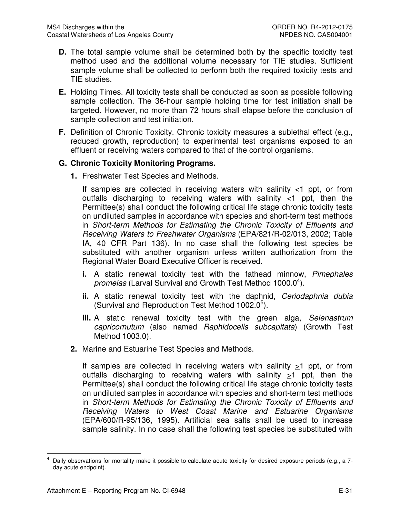- **D.** The total sample volume shall be determined both by the specific toxicity test method used and the additional volume necessary for TIE studies. Sufficient sample volume shall be collected to perform both the required toxicity tests and TIE studies.
- **E.** Holding Times. All toxicity tests shall be conducted as soon as possible following sample collection. The 36-hour sample holding time for test initiation shall be targeted. However, no more than 72 hours shall elapse before the conclusion of sample collection and test initiation.
- **F.** Definition of Chronic Toxicity. Chronic toxicity measures a sublethal effect (e.g., reduced growth, reproduction) to experimental test organisms exposed to an effluent or receiving waters compared to that of the control organisms.

### **G. Chronic Toxicity Monitoring Programs.**

**1.** Freshwater Test Species and Methods.

If samples are collected in receiving waters with salinity  $\lt 1$  ppt, or from outfalls discharging to receiving waters with salinity <1 ppt, then the Permittee(s) shall conduct the following critical life stage chronic toxicity tests on undiluted samples in accordance with species and short-term test methods in Short-term Methods for Estimating the Chronic Toxicity of Effluents and Receiving Waters to Freshwater Organisms (EPA/821/R-02/013, 2002; Table IA, 40 CFR Part 136). In no case shall the following test species be substituted with another organism unless written authorization from the Regional Water Board Executive Officer is received.

- **i.** A static renewal toxicity test with the fathead minnow, Pimephales promelas (Larval Survival and Growth Test Method 1000.0<sup>4</sup>).
- **ii.** A static renewal toxicity test with the daphnid, Ceriodaphnia dubia (Survival and Reproduction Test Method 1002.0<sup>5</sup>).
- **iii.** A static renewal toxicity test with the green alga, Selenastrum capricornutum (also named Raphidocelis subcapitata) (Growth Test Method 1003.0).
- **2.** Marine and Estuarine Test Species and Methods.

If samples are collected in receiving waters with salinity  $\geq 1$  ppt, or from outfalls discharging to receiving waters with salinity  $>1$  ppt, then the Permittee(s) shall conduct the following critical life stage chronic toxicity tests on undiluted samples in accordance with species and short-term test methods in Short-term Methods for Estimating the Chronic Toxicity of Effluents and Receiving Waters to West Coast Marine and Estuarine Organisms (EPA/600/R-95/136, 1995). Artificial sea salts shall be used to increase sample salinity. In no case shall the following test species be substituted with

 $\overline{a}$ 4 Daily observations for mortality make it possible to calculate acute toxicity for desired exposure periods (e.g., a 7 day acute endpoint).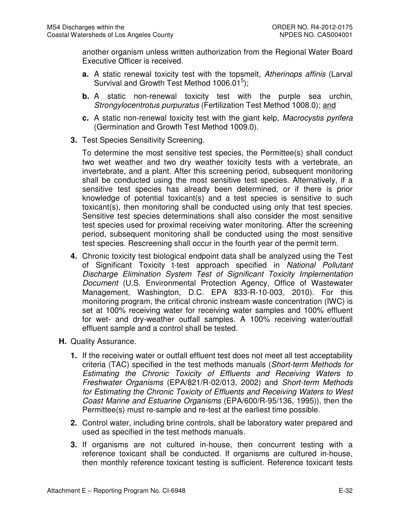another organism unless written authorization from the Regional Water Board Executive Officer is received.

- **a.** A static renewal toxicity test with the topsmelt, Atherinops affinis (Larval Survival and Growth Test Method 1006.01 $5$ );
- **b.** A static non-renewal toxicity test with the purple sea urchin, Strongylocentrotus purpuratus (Fertilization Test Method 1008.0); and
- **c.** A static non-renewal toxicity test with the giant kelp, Macrocystis pyrifera (Germination and Growth Test Method 1009.0).
- **3.** Test Species Sensitivity Screening.

To determine the most sensitive test species, the Permittee(s) shall conduct two wet weather and two dry weather toxicity tests with a vertebrate, an invertebrate, and a plant. After this screening period, subsequent monitoring shall be conducted using the most sensitive test species. Alternatively, if a sensitive test species has already been determined, or if there is prior knowledge of potential toxicant(s) and a test species is sensitive to such toxicant(s), then monitoring shall be conducted using only that test species. Sensitive test species determinations shall also consider the most sensitive test species used for proximal receiving water monitoring. After the screening period, subsequent monitoring shall be conducted using the most sensitive test species. Rescreening shall occur in the fourth year of the permit term.

- **4.** Chronic toxicity test biological endpoint data shall be analyzed using the Test of Significant Toxicity t-test approach specified in National Pollutant Discharge Elimination System Test of Significant Toxicity Implementation Document (U.S. Environmental Protection Agency, Office of Wastewater Management, Washington, D.C. EPA 833-R-10-003, 2010). For this monitoring program, the critical chronic instream waste concentration (IWC) is set at 100% receiving water for receiving water samples and 100% effluent for wet- and dry-weather outfall samples. A 100% receiving water/outfall effluent sample and a control shall be tested.
- **H.** Quality Assurance.
	- **1.** If the receiving water or outfall effluent test does not meet all test acceptability criteria (TAC) specified in the test methods manuals (Short-term Methods for Estimating the Chronic Toxicity of Effluents and Receiving Waters to Freshwater Organisms (EPA/821/R-02/013, 2002) and Short-term Methods for Estimating the Chronic Toxicity of Effluents and Receiving Waters to West Coast Marine and Estuarine Organisms (EPA/600/R-95/136, 1995)), then the Permittee(s) must re-sample and re-test at the earliest time possible.
	- **2.** Control water, including brine controls, shall be laboratory water prepared and used as specified in the test methods manuals.
	- **3.** If organisms are not cultured in-house, then concurrent testing with a reference toxicant shall be conducted. If organisms are cultured in-house, then monthly reference toxicant testing is sufficient. Reference toxicant tests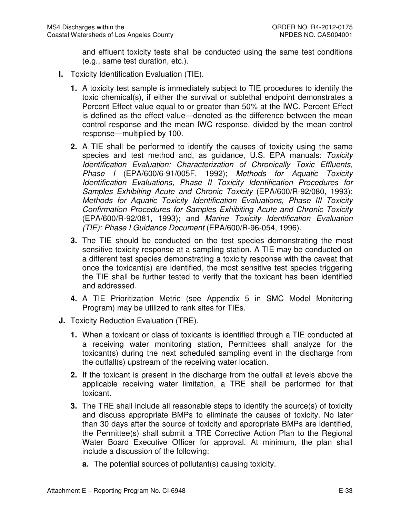and effluent toxicity tests shall be conducted using the same test conditions (e.g., same test duration, etc.).

- **I.** Toxicity Identification Evaluation (TIE).
	- **1.** A toxicity test sample is immediately subject to TIE procedures to identify the toxic chemical(s), if either the survival or sublethal endpoint demonstrates a Percent Effect value equal to or greater than 50% at the IWC. Percent Effect is defined as the effect value—denoted as the difference between the mean control response and the mean IWC response, divided by the mean control response—multiplied by 100.
	- **2.** A TIE shall be performed to identify the causes of toxicity using the same species and test method and, as guidance, U.S. EPA manuals: Toxicity Identification Evaluation: Characterization of Chronically Toxic Effluents, Phase I (EPA/600/6-91/005F, 1992); Methods for Aquatic Toxicity Identification Evaluations, Phase II Toxicity Identification Procedures for Samples Exhibiting Acute and Chronic Toxicity (EPA/600/R-92/080, 1993); Methods for Aquatic Toxicity Identification Evaluations, Phase III Toxicity Confirmation Procedures for Samples Exhibiting Acute and Chronic Toxicity (EPA/600/R-92/081, 1993); and Marine Toxicity Identification Evaluation (TIE): Phase I Guidance Document (EPA/600/R-96-054, 1996).
	- **3.** The TIE should be conducted on the test species demonstrating the most sensitive toxicity response at a sampling station. A TIE may be conducted on a different test species demonstrating a toxicity response with the caveat that once the toxicant(s) are identified, the most sensitive test species triggering the TIE shall be further tested to verify that the toxicant has been identified and addressed.
	- **4.** A TIE Prioritization Metric (see Appendix 5 in SMC Model Monitoring Program) may be utilized to rank sites for TIEs.
- **J.** Toxicity Reduction Evaluation (TRE).
	- **1.** When a toxicant or class of toxicants is identified through a TIE conducted at a receiving water monitoring station, Permittees shall analyze for the toxicant(s) during the next scheduled sampling event in the discharge from the outfall(s) upstream of the receiving water location.
	- **2.** If the toxicant is present in the discharge from the outfall at levels above the applicable receiving water limitation, a TRE shall be performed for that toxicant.
	- **3.** The TRE shall include all reasonable steps to identify the source(s) of toxicity and discuss appropriate BMPs to eliminate the causes of toxicity. No later than 30 days after the source of toxicity and appropriate BMPs are identified, the Permittee(s) shall submit a TRE Corrective Action Plan to the Regional Water Board Executive Officer for approval. At minimum, the plan shall include a discussion of the following:
		- **a.** The potential sources of pollutant(s) causing toxicity.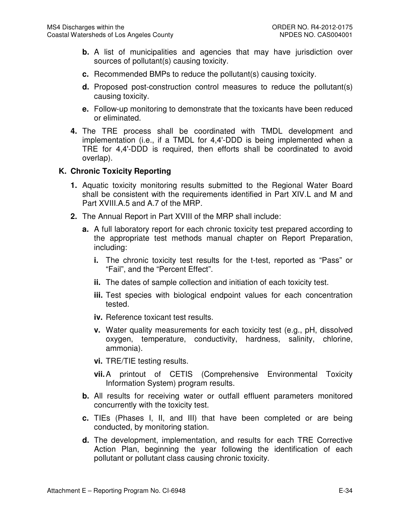- **b.** A list of municipalities and agencies that may have jurisdiction over sources of pollutant(s) causing toxicity.
- **c.** Recommended BMPs to reduce the pollutant(s) causing toxicity.
- **d.** Proposed post-construction control measures to reduce the pollutant(s) causing toxicity.
- **e.** Follow-up monitoring to demonstrate that the toxicants have been reduced or eliminated.
- **4.** The TRE process shall be coordinated with TMDL development and implementation (i.e., if a TMDL for 4,4'-DDD is being implemented when a TRE for 4,4'-DDD is required, then efforts shall be coordinated to avoid overlap).

### **K. Chronic Toxicity Reporting**

- **1.** Aquatic toxicity monitoring results submitted to the Regional Water Board shall be consistent with the requirements identified in Part XIV.L and M and Part XVIII.A.5 and A.7 of the MRP.
- **2.** The Annual Report in Part XVIII of the MRP shall include:
	- **a.** A full laboratory report for each chronic toxicity test prepared according to the appropriate test methods manual chapter on Report Preparation, including:
		- **i.** The chronic toxicity test results for the t-test, reported as "Pass" or "Fail", and the "Percent Effect".
		- **ii.** The dates of sample collection and initiation of each toxicity test.
		- **iii.** Test species with biological endpoint values for each concentration tested.
		- **iv.** Reference toxicant test results.
		- **v.** Water quality measurements for each toxicity test (e.g., pH, dissolved oxygen, temperature, conductivity, hardness, salinity, chlorine, ammonia).
		- **vi.** TRE/TIE testing results.
		- **vii.** A printout of CETIS (Comprehensive Environmental Toxicity Information System) program results.
	- **b.** All results for receiving water or outfall effluent parameters monitored concurrently with the toxicity test.
	- **c.** TIEs (Phases I, II, and III) that have been completed or are being conducted, by monitoring station.
	- **d.** The development, implementation, and results for each TRE Corrective Action Plan, beginning the year following the identification of each pollutant or pollutant class causing chronic toxicity.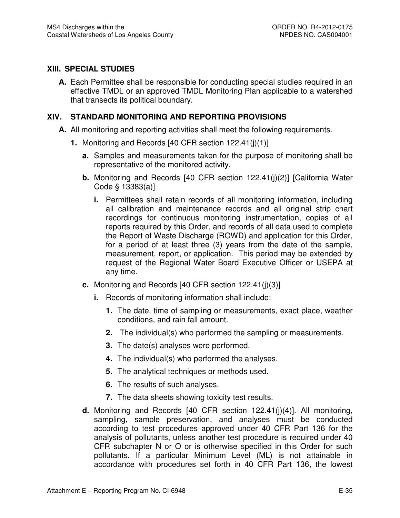## **XIII. SPECIAL STUDIES**

**A.** Each Permittee shall be responsible for conducting special studies required in an effective TMDL or an approved TMDL Monitoring Plan applicable to a watershed that transects its political boundary.

## **XIV. STANDARD MONITORING AND REPORTING PROVISIONS**

- **A.** All monitoring and reporting activities shall meet the following requirements.
	- **1.** Monitoring and Records [40 CFR section 122.41(j)(1)]
		- **a.** Samples and measurements taken for the purpose of monitoring shall be representative of the monitored activity.
		- **b.** Monitoring and Records [40 CFR section 122.41(j)(2)] [California Water Code § 13383(a)]
			- **i.** Permittees shall retain records of all monitoring information, including all calibration and maintenance records and all original strip chart recordings for continuous monitoring instrumentation, copies of all reports required by this Order, and records of all data used to complete the Report of Waste Discharge (ROWD) and application for this Order, for a period of at least three (3) years from the date of the sample, measurement, report, or application. This period may be extended by request of the Regional Water Board Executive Officer or USEPA at any time.
		- **c.** Monitoring and Records [40 CFR section 122.41(j)(3)]
			- **i.** Records of monitoring information shall include:
				- **1.** The date, time of sampling or measurements, exact place, weather conditions, and rain fall amount.
				- **2.** The individual(s) who performed the sampling or measurements.
				- **3.** The date(s) analyses were performed.
				- **4.** The individual(s) who performed the analyses.
				- **5.** The analytical techniques or methods used.
				- **6.** The results of such analyses.
				- **7.** The data sheets showing toxicity test results.
		- **d.** Monitoring and Records [40 CFR section 122.41(j)(4)]. All monitoring, sampling, sample preservation, and analyses must be conducted according to test procedures approved under 40 CFR Part 136 for the analysis of pollutants, unless another test procedure is required under 40 CFR subchapter N or O or is otherwise specified in this Order for such pollutants. If a particular Minimum Level (ML) is not attainable in accordance with procedures set forth in 40 CFR Part 136, the lowest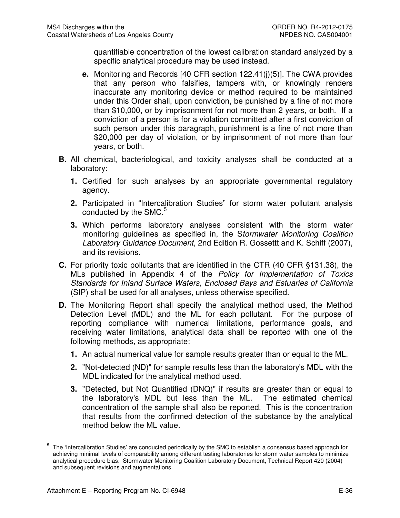quantifiable concentration of the lowest calibration standard analyzed by a specific analytical procedure may be used instead.

- **e.** Monitoring and Records [40 CFR section 122.41(j)(5)]. The CWA provides that any person who falsifies, tampers with, or knowingly renders inaccurate any monitoring device or method required to be maintained under this Order shall, upon conviction, be punished by a fine of not more than \$10,000, or by imprisonment for not more than 2 years, or both. If a conviction of a person is for a violation committed after a first conviction of such person under this paragraph, punishment is a fine of not more than \$20,000 per day of violation, or by imprisonment of not more than four years, or both.
- **B.** All chemical, bacteriological, and toxicity analyses shall be conducted at a laboratory:
	- **1.** Certified for such analyses by an appropriate governmental regulatory agency.
	- **2.** Participated in "Intercalibration Studies" for storm water pollutant analysis conducted by the  $SMC<sup>5</sup>$
	- **3.** Which performs laboratory analyses consistent with the storm water monitoring guidelines as specified in, the Stormwater Monitoring Coalition Laboratory Guidance Document, 2nd Edition R. Gossettt and K. Schiff (2007), and its revisions.
- **C.** For priority toxic pollutants that are identified in the CTR (40 CFR §131.38), the MLs published in Appendix 4 of the Policy for Implementation of Toxics Standards for Inland Surface Waters, Enclosed Bays and Estuaries of California (SIP) shall be used for all analyses, unless otherwise specified.
- **D.** The Monitoring Report shall specify the analytical method used, the Method Detection Level (MDL) and the ML for each pollutant. For the purpose of reporting compliance with numerical limitations, performance goals, and receiving water limitations, analytical data shall be reported with one of the following methods, as appropriate:
	- **1.** An actual numerical value for sample results greater than or equal to the ML.
	- **2.** "Not-detected (ND)" for sample results less than the laboratory's MDL with the MDL indicated for the analytical method used.
	- **3.** "Detected, but Not Quantified (DNQ)" if results are greater than or equal to the laboratory's MDL but less than the ML. The estimated chemical concentration of the sample shall also be reported. This is the concentration that results from the confirmed detection of the substance by the analytical method below the ML value.

 $\frac{1}{5}$  The 'Intercalibration Studies' are conducted periodically by the SMC to establish a consensus based approach for achieving minimal levels of comparability among different testing laboratories for storm water samples to minimize analytical procedure bias. Stormwater Monitoring Coalition Laboratory Document, Technical Report 420 (2004) and subsequent revisions and augmentations.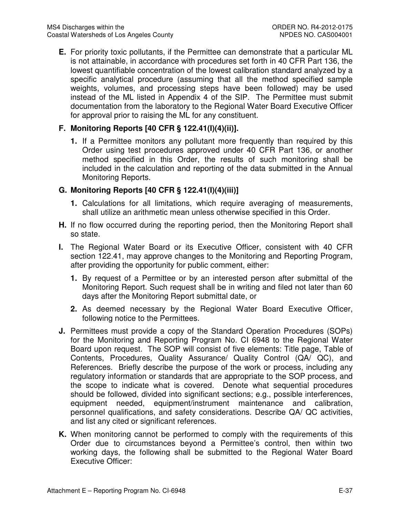**E.** For priority toxic pollutants, if the Permittee can demonstrate that a particular ML is not attainable, in accordance with procedures set forth in 40 CFR Part 136, the lowest quantifiable concentration of the lowest calibration standard analyzed by a specific analytical procedure (assuming that all the method specified sample weights, volumes, and processing steps have been followed) may be used instead of the ML listed in Appendix 4 of the SIP. The Permittee must submit documentation from the laboratory to the Regional Water Board Executive Officer for approval prior to raising the ML for any constituent.

## **F. Monitoring Reports [40 CFR § 122.41(I)(4)(ii)].**

**1.** If a Permittee monitors any pollutant more frequently than required by this Order using test procedures approved under 40 CFR Part 136, or another method specified in this Order, the results of such monitoring shall be included in the calculation and reporting of the data submitted in the Annual Monitoring Reports.

## **G. Monitoring Reports [40 CFR § 122.41(I)(4)(iii)]**

- **1.** Calculations for all limitations, which require averaging of measurements, shall utilize an arithmetic mean unless otherwise specified in this Order.
- **H.** If no flow occurred during the reporting period, then the Monitoring Report shall so state.
- **I.** The Regional Water Board or its Executive Officer, consistent with 40 CFR section 122.41, may approve changes to the Monitoring and Reporting Program, after providing the opportunity for public comment, either:
	- **1.** By request of a Permittee or by an interested person after submittal of the Monitoring Report. Such request shall be in writing and filed not later than 60 days after the Monitoring Report submittal date, or
	- **2.** As deemed necessary by the Regional Water Board Executive Officer, following notice to the Permittees.
- **J.** Permittees must provide a copy of the Standard Operation Procedures (SOPs) for the Monitoring and Reporting Program No. CI 6948 to the Regional Water Board upon request. The SOP will consist of five elements: Title page, Table of Contents, Procedures, Quality Assurance/ Quality Control (QA/ QC), and References. Briefly describe the purpose of the work or process, including any regulatory information or standards that are appropriate to the SOP process, and the scope to indicate what is covered. Denote what sequential procedures should be followed, divided into significant sections; e.g., possible interferences, equipment needed, equipment/instrument maintenance and calibration, personnel qualifications, and safety considerations. Describe QA/ QC activities, and list any cited or significant references.
- **K.** When monitoring cannot be performed to comply with the requirements of this Order due to circumstances beyond a Permittee's control, then within two working days, the following shall be submitted to the Regional Water Board Executive Officer: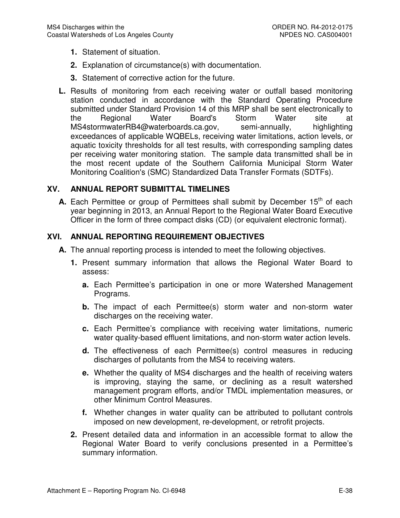- **1.** Statement of situation.
- **2.** Explanation of circumstance(s) with documentation.
- **3.** Statement of corrective action for the future.
- **L.** Results of monitoring from each receiving water or outfall based monitoring station conducted in accordance with the Standard Operating Procedure submitted under Standard Provision 14 of this MRP shall be sent electronically to the Regional Water Board's Storm Water site at MS4stormwaterRB4@waterboards.ca.gov, semi-annually, highlighting exceedances of applicable WQBELs, receiving water limitations, action levels, or aquatic toxicity thresholds for all test results, with corresponding sampling dates per receiving water monitoring station. The sample data transmitted shall be in the most recent update of the Southern California Municipal Storm Water Monitoring Coalition's (SMC) Standardized Data Transfer Formats (SDTFs).

### **XV. ANNUAL REPORT SUBMITTAL TIMELINES**

**A.** Each Permittee or group of Permittees shall submit by December 15<sup>th</sup> of each year beginning in 2013, an Annual Report to the Regional Water Board Executive Officer in the form of three compact disks (CD) (or equivalent electronic format).

## **XVI. ANNUAL REPORTING REQUIREMENT OBJECTIVES**

- **A.** The annual reporting process is intended to meet the following objectives.
	- **1.** Present summary information that allows the Regional Water Board to assess:
		- **a.** Each Permittee's participation in one or more Watershed Management Programs.
		- **b.** The impact of each Permittee(s) storm water and non-storm water discharges on the receiving water.
		- **c.** Each Permittee's compliance with receiving water limitations, numeric water quality-based effluent limitations, and non-storm water action levels.
		- **d.** The effectiveness of each Permittee(s) control measures in reducing discharges of pollutants from the MS4 to receiving waters.
		- **e.** Whether the quality of MS4 discharges and the health of receiving waters is improving, staying the same, or declining as a result watershed management program efforts, and/or TMDL implementation measures, or other Minimum Control Measures.
		- **f.** Whether changes in water quality can be attributed to pollutant controls imposed on new development, re-development, or retrofit projects.
	- **2.** Present detailed data and information in an accessible format to allow the Regional Water Board to verify conclusions presented in a Permittee's summary information.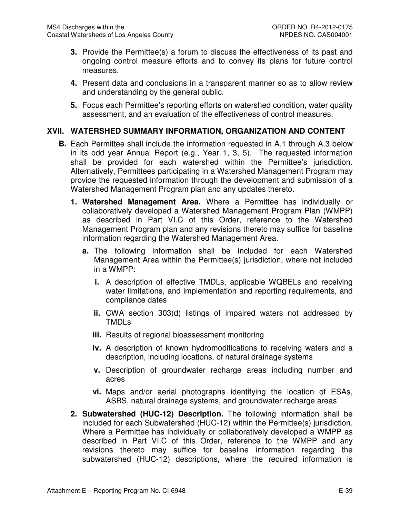- **3.** Provide the Permittee(s) a forum to discuss the effectiveness of its past and ongoing control measure efforts and to convey its plans for future control measures.
- **4.** Present data and conclusions in a transparent manner so as to allow review and understanding by the general public.
- **5.** Focus each Permittee's reporting efforts on watershed condition, water quality assessment, and an evaluation of the effectiveness of control measures.

### **XVII. WATERSHED SUMMARY INFORMATION, ORGANIZATION AND CONTENT**

- **B.** Each Permittee shall include the information requested in A.1 through A.3 below in its odd year Annual Report (e.g., Year 1, 3, 5). The requested information shall be provided for each watershed within the Permittee's jurisdiction. Alternatively, Permittees participating in a Watershed Management Program may provide the requested information through the development and submission of a Watershed Management Program plan and any updates thereto.
	- **1. Watershed Management Area.** Where a Permittee has individually or collaboratively developed a Watershed Management Program Plan (WMPP) as described in Part VI.C of this Order, reference to the Watershed Management Program plan and any revisions thereto may suffice for baseline information regarding the Watershed Management Area.
		- **a.** The following information shall be included for each Watershed Management Area within the Permittee(s) jurisdiction, where not included in a WMPP:
			- **i.** A description of effective TMDLs, applicable WQBELs and receiving water limitations, and implementation and reporting requirements, and compliance dates
			- **ii.** CWA section 303(d) listings of impaired waters not addressed by TMDLs
			- **iii.** Results of regional bioassessment monitoring
			- **iv.** A description of known hydromodifications to receiving waters and a description, including locations, of natural drainage systems
			- **v.** Description of groundwater recharge areas including number and acres
			- **vi.** Maps and/or aerial photographs identifying the location of ESAs, ASBS, natural drainage systems, and groundwater recharge areas
	- **2. Subwatershed (HUC-12) Description.** The following information shall be included for each Subwatershed (HUC-12) within the Permittee(s) jurisdiction. Where a Permittee has individually or collaboratively developed a WMPP as described in Part VI.C of this Order, reference to the WMPP and any revisions thereto may suffice for baseline information regarding the subwatershed (HUC-12) descriptions, where the required information is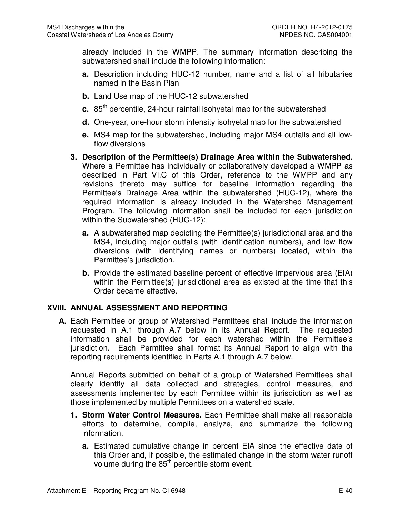already included in the WMPP. The summary information describing the subwatershed shall include the following information:

- **a.** Description including HUC-12 number, name and a list of all tributaries named in the Basin Plan
- **b.** Land Use map of the HUC-12 subwatershed
- **c.** 85<sup>th</sup> percentile, 24-hour rainfall isohyetal map for the subwatershed
- **d.** One-year, one-hour storm intensity isohyetal map for the subwatershed
- **e.** MS4 map for the subwatershed, including major MS4 outfalls and all lowflow diversions
- **3. Description of the Permittee(s) Drainage Area within the Subwatershed.**  Where a Permittee has individually or collaboratively developed a WMPP as described in Part VI.C of this Order, reference to the WMPP and any revisions thereto may suffice for baseline information regarding the Permittee's Drainage Area within the subwatershed (HUC-12), where the required information is already included in the Watershed Management Program. The following information shall be included for each jurisdiction within the Subwatershed (HUC-12):
	- **a.** A subwatershed map depicting the Permittee(s) jurisdictional area and the MS4, including major outfalls (with identification numbers), and low flow diversions (with identifying names or numbers) located, within the Permittee's jurisdiction.
	- **b.** Provide the estimated baseline percent of effective impervious area (EIA) within the Permittee(s) jurisdictional area as existed at the time that this Order became effective.

## **XVIII. ANNUAL ASSESSMENT AND REPORTING**

**A.** Each Permittee or group of Watershed Permittees shall include the information requested in A.1 through A.7 below in its Annual Report. The requested information shall be provided for each watershed within the Permittee's jurisdiction. Each Permittee shall format its Annual Report to align with the reporting requirements identified in Parts A.1 through A.7 below.

Annual Reports submitted on behalf of a group of Watershed Permittees shall clearly identify all data collected and strategies, control measures, and assessments implemented by each Permittee within its jurisdiction as well as those implemented by multiple Permittees on a watershed scale.

- **1. Storm Water Control Measures.** Each Permittee shall make all reasonable efforts to determine, compile, analyze, and summarize the following information.
	- **a.** Estimated cumulative change in percent EIA since the effective date of this Order and, if possible, the estimated change in the storm water runoff volume during the 85<sup>th</sup> percentile storm event.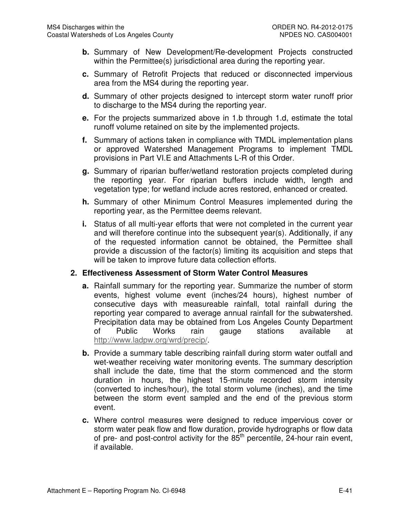- **b.** Summary of New Development/Re-development Projects constructed within the Permittee(s) jurisdictional area during the reporting year.
- **c.** Summary of Retrofit Projects that reduced or disconnected impervious area from the MS4 during the reporting year.
- **d.** Summary of other projects designed to intercept storm water runoff prior to discharge to the MS4 during the reporting year.
- **e.** For the projects summarized above in 1.b through 1.d, estimate the total runoff volume retained on site by the implemented projects.
- **f.** Summary of actions taken in compliance with TMDL implementation plans or approved Watershed Management Programs to implement TMDL provisions in Part VI.E and Attachments L-R of this Order.
- **g.** Summary of riparian buffer/wetland restoration projects completed during the reporting year. For riparian buffers include width, length and vegetation type; for wetland include acres restored, enhanced or created.
- **h.** Summary of other Minimum Control Measures implemented during the reporting year, as the Permittee deems relevant.
- **i.** Status of all multi-year efforts that were not completed in the current year and will therefore continue into the subsequent year(s). Additionally, if any of the requested information cannot be obtained, the Permittee shall provide a discussion of the factor(s) limiting its acquisition and steps that will be taken to improve future data collection efforts.

## **2. Effectiveness Assessment of Storm Water Control Measures**

- **a.** Rainfall summary for the reporting year. Summarize the number of storm events, highest volume event (inches/24 hours), highest number of consecutive days with measureable rainfall, total rainfall during the reporting year compared to average annual rainfall for the subwatershed. Precipitation data may be obtained from Los Angeles County Department of Public Works rain gauge stations available at http://www.ladpw.org/wrd/precip/.
- **b.** Provide a summary table describing rainfall during storm water outfall and wet-weather receiving water monitoring events. The summary description shall include the date, time that the storm commenced and the storm duration in hours, the highest 15-minute recorded storm intensity (converted to inches/hour), the total storm volume (inches), and the time between the storm event sampled and the end of the previous storm event.
- **c.** Where control measures were designed to reduce impervious cover or storm water peak flow and flow duration, provide hydrographs or flow data of pre- and post-control activity for the  $85<sup>th</sup>$  percentile, 24-hour rain event, if available.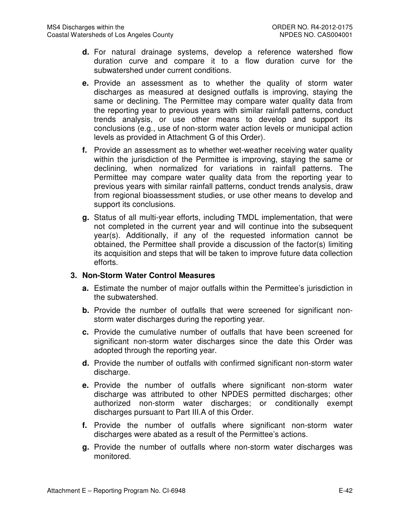- **d.** For natural drainage systems, develop a reference watershed flow duration curve and compare it to a flow duration curve for the subwatershed under current conditions.
- **e.** Provide an assessment as to whether the quality of storm water discharges as measured at designed outfalls is improving, staying the same or declining. The Permittee may compare water quality data from the reporting year to previous years with similar rainfall patterns, conduct trends analysis, or use other means to develop and support its conclusions (e.g., use of non-storm water action levels or municipal action levels as provided in Attachment G of this Order).
- **f.** Provide an assessment as to whether wet-weather receiving water quality within the jurisdiction of the Permittee is improving, staying the same or declining, when normalized for variations in rainfall patterns. The Permittee may compare water quality data from the reporting year to previous years with similar rainfall patterns, conduct trends analysis, draw from regional bioassessment studies, or use other means to develop and support its conclusions.
- **g.** Status of all multi-year efforts, including TMDL implementation, that were not completed in the current year and will continue into the subsequent year(s). Additionally, if any of the requested information cannot be obtained, the Permittee shall provide a discussion of the factor(s) limiting its acquisition and steps that will be taken to improve future data collection efforts.

### **3. Non-Storm Water Control Measures**

- **a.** Estimate the number of major outfalls within the Permittee's jurisdiction in the subwatershed.
- **b.** Provide the number of outfalls that were screened for significant nonstorm water discharges during the reporting year.
- **c.** Provide the cumulative number of outfalls that have been screened for significant non-storm water discharges since the date this Order was adopted through the reporting year.
- **d.** Provide the number of outfalls with confirmed significant non-storm water discharge.
- **e.** Provide the number of outfalls where significant non-storm water discharge was attributed to other NPDES permitted discharges; other authorized non-storm water discharges; or conditionally exempt discharges pursuant to Part III.A of this Order.
- **f.** Provide the number of outfalls where significant non-storm water discharges were abated as a result of the Permittee's actions.
- **g.** Provide the number of outfalls where non-storm water discharges was monitored.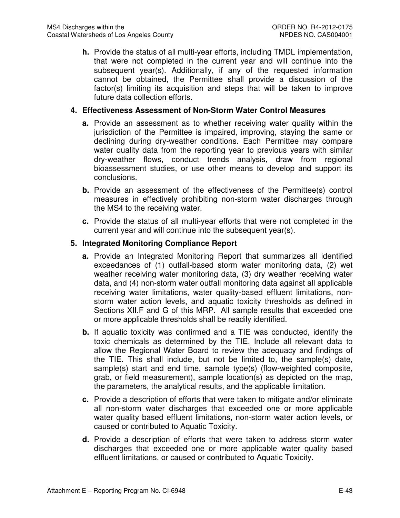**h.** Provide the status of all multi-year efforts, including TMDL implementation, that were not completed in the current year and will continue into the subsequent year(s). Additionally, if any of the requested information cannot be obtained, the Permittee shall provide a discussion of the factor(s) limiting its acquisition and steps that will be taken to improve future data collection efforts.

### **4. Effectiveness Assessment of Non-Storm Water Control Measures**

- **a.** Provide an assessment as to whether receiving water quality within the jurisdiction of the Permittee is impaired, improving, staying the same or declining during dry-weather conditions. Each Permittee may compare water quality data from the reporting year to previous years with similar dry-weather flows, conduct trends analysis, draw from regional bioassessment studies, or use other means to develop and support its conclusions.
- **b.** Provide an assessment of the effectiveness of the Permittee(s) control measures in effectively prohibiting non-storm water discharges through the MS4 to the receiving water.
- **c.** Provide the status of all multi-year efforts that were not completed in the current year and will continue into the subsequent year(s).

### **5. Integrated Monitoring Compliance Report**

- **a.** Provide an Integrated Monitoring Report that summarizes all identified exceedances of (1) outfall-based storm water monitoring data, (2) wet weather receiving water monitoring data, (3) dry weather receiving water data, and (4) non-storm water outfall monitoring data against all applicable receiving water limitations, water quality-based effluent limitations, nonstorm water action levels, and aquatic toxicity thresholds as defined in Sections XII.F and G of this MRP. All sample results that exceeded one or more applicable thresholds shall be readily identified.
- **b.** If aquatic toxicity was confirmed and a TIE was conducted, identify the toxic chemicals as determined by the TIE. Include all relevant data to allow the Regional Water Board to review the adequacy and findings of the TIE. This shall include, but not be limited to, the sample(s) date, sample(s) start and end time, sample type(s) (flow-weighted composite, grab, or field measurement), sample location(s) as depicted on the map, the parameters, the analytical results, and the applicable limitation.
- **c.** Provide a description of efforts that were taken to mitigate and/or eliminate all non-storm water discharges that exceeded one or more applicable water quality based effluent limitations, non-storm water action levels, or caused or contributed to Aquatic Toxicity.
- **d.** Provide a description of efforts that were taken to address storm water discharges that exceeded one or more applicable water quality based effluent limitations, or caused or contributed to Aquatic Toxicity.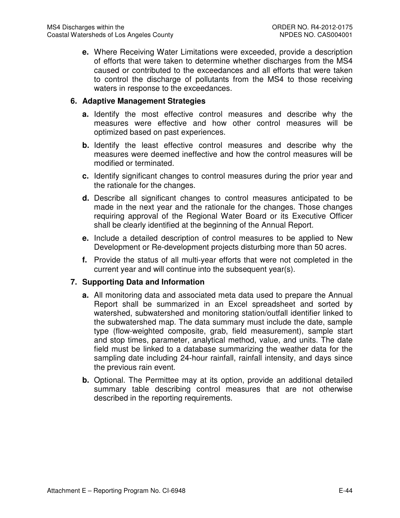**e.** Where Receiving Water Limitations were exceeded, provide a description of efforts that were taken to determine whether discharges from the MS4 caused or contributed to the exceedances and all efforts that were taken to control the discharge of pollutants from the MS4 to those receiving waters in response to the exceedances.

#### **6. Adaptive Management Strategies**

- **a.** Identify the most effective control measures and describe why the measures were effective and how other control measures will be optimized based on past experiences.
- **b.** Identify the least effective control measures and describe why the measures were deemed ineffective and how the control measures will be modified or terminated.
- **c.** Identify significant changes to control measures during the prior year and the rationale for the changes.
- **d.** Describe all significant changes to control measures anticipated to be made in the next year and the rationale for the changes. Those changes requiring approval of the Regional Water Board or its Executive Officer shall be clearly identified at the beginning of the Annual Report.
- **e.** Include a detailed description of control measures to be applied to New Development or Re-development projects disturbing more than 50 acres.
- **f.** Provide the status of all multi-year efforts that were not completed in the current year and will continue into the subsequent year(s).

#### **7. Supporting Data and Information**

- **a.** All monitoring data and associated meta data used to prepare the Annual Report shall be summarized in an Excel spreadsheet and sorted by watershed, subwatershed and monitoring station/outfall identifier linked to the subwatershed map. The data summary must include the date, sample type (flow-weighted composite, grab, field measurement), sample start and stop times, parameter, analytical method, value, and units. The date field must be linked to a database summarizing the weather data for the sampling date including 24-hour rainfall, rainfall intensity, and days since the previous rain event.
- **b.** Optional. The Permittee may at its option, provide an additional detailed summary table describing control measures that are not otherwise described in the reporting requirements.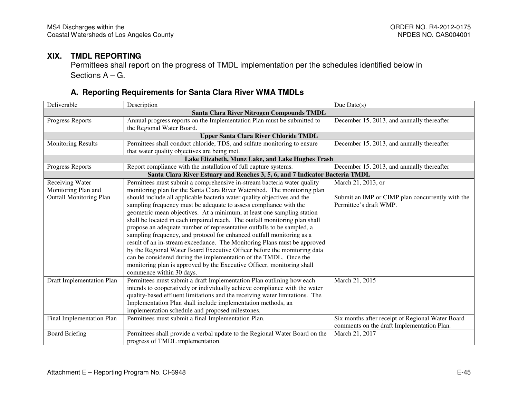## **XIX. TMDL REPORTING**

 Permittees shall report on the progress of TMDL implementation per the schedules identified below in Sections A – G.

## **A. Reporting Requirements for Santa Clara River WMA TMDLs**

| Deliverable                               | Description                                                                  | Due $Date(s)$                                    |  |  |  |
|-------------------------------------------|------------------------------------------------------------------------------|--------------------------------------------------|--|--|--|
| Santa Clara River Nitrogen Compounds TMDL |                                                                              |                                                  |  |  |  |
| <b>Progress Reports</b>                   | Annual progress reports on the Implementation Plan must be submitted to      | December 15, 2013, and annually thereafter       |  |  |  |
|                                           | the Regional Water Board.                                                    |                                                  |  |  |  |
|                                           | <b>Upper Santa Clara River Chloride TMDL</b>                                 |                                                  |  |  |  |
| <b>Monitoring Results</b>                 | Permittees shall conduct chloride, TDS, and sulfate monitoring to ensure     | December 15, 2013, and annually thereafter       |  |  |  |
|                                           | that water quality objectives are being met.                                 |                                                  |  |  |  |
|                                           | Lake Elizabeth, Munz Lake, and Lake Hughes Trash                             |                                                  |  |  |  |
| Progress Reports                          | Report compliance with the installation of full capture systems.             | December 15, 2013, and annually thereafter       |  |  |  |
|                                           | Santa Clara River Estuary and Reaches 3, 5, 6, and 7 Indicator Bacteria TMDL |                                                  |  |  |  |
| Receiving Water                           | Permittees must submit a comprehensive in-stream bacteria water quality      | March 21, 2013, or                               |  |  |  |
| Monitoring Plan and                       | monitoring plan for the Santa Clara River Watershed. The monitoring plan     |                                                  |  |  |  |
| <b>Outfall Monitoring Plan</b>            | should include all applicable bacteria water quality objectives and the      | Submit an IMP or CIMP plan concurrently with the |  |  |  |
|                                           | sampling frequency must be adequate to assess compliance with the            | Permittee's draft WMP.                           |  |  |  |
|                                           | geometric mean objectives. At a minimum, at least one sampling station       |                                                  |  |  |  |
|                                           | shall be located in each impaired reach. The outfall monitoring plan shall   |                                                  |  |  |  |
|                                           | propose an adequate number of representative outfalls to be sampled, a       |                                                  |  |  |  |
|                                           | sampling frequency, and protocol for enhanced outfall monitoring as a        |                                                  |  |  |  |
|                                           | result of an in-stream exceedance. The Monitoring Plans must be approved     |                                                  |  |  |  |
|                                           | by the Regional Water Board Executive Officer before the monitoring data     |                                                  |  |  |  |
|                                           | can be considered during the implementation of the TMDL. Once the            |                                                  |  |  |  |
|                                           | monitoring plan is approved by the Executive Officer, monitoring shall       |                                                  |  |  |  |
|                                           | commence within 30 days.                                                     |                                                  |  |  |  |
| <b>Draft Implementation Plan</b>          | Permittees must submit a draft Implementation Plan outlining how each        | March 21, 2015                                   |  |  |  |
|                                           | intends to cooperatively or individually achieve compliance with the water   |                                                  |  |  |  |
|                                           | quality-based effluent limitations and the receiving water limitations. The  |                                                  |  |  |  |
|                                           | Implementation Plan shall include implementation methods, an                 |                                                  |  |  |  |
|                                           | implementation schedule and proposed milestones.                             |                                                  |  |  |  |
| Final Implementation Plan                 | Permittees must submit a final Implementation Plan.                          | Six months after receipt of Regional Water Board |  |  |  |
|                                           |                                                                              | comments on the draft Implementation Plan.       |  |  |  |
| <b>Board Briefing</b>                     | Permittees shall provide a verbal update to the Regional Water Board on the  | March 21, 2017                                   |  |  |  |
|                                           | progress of TMDL implementation.                                             |                                                  |  |  |  |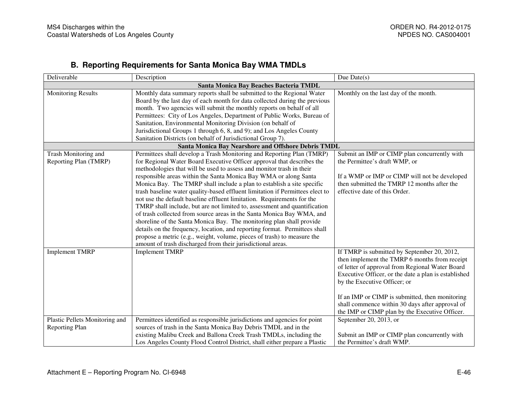## **B. Reporting Requirements for Santa Monica Bay WMA TMDLs**

| Deliverable                    | Description                                                                                                                                             | Due Date $(s)$                                                               |  |  |  |
|--------------------------------|---------------------------------------------------------------------------------------------------------------------------------------------------------|------------------------------------------------------------------------------|--|--|--|
|                                | Santa Monica Bay Beaches Bacteria TMDL                                                                                                                  |                                                                              |  |  |  |
| <b>Monitoring Results</b>      | Monthly data summary reports shall be submitted to the Regional Water                                                                                   | Monthly on the last day of the month.                                        |  |  |  |
|                                | Board by the last day of each month for data collected during the previous                                                                              |                                                                              |  |  |  |
|                                | month. Two agencies will submit the monthly reports on behalf of all                                                                                    |                                                                              |  |  |  |
|                                | Permittees: City of Los Angeles, Department of Public Works, Bureau of                                                                                  |                                                                              |  |  |  |
|                                | Sanitation, Environmental Monitoring Division (on behalf of                                                                                             |                                                                              |  |  |  |
|                                | Jurisdictional Groups 1 through 6, 8, and 9); and Los Angeles County                                                                                    |                                                                              |  |  |  |
|                                | Sanitation Districts (on behalf of Jurisdictional Group 7).                                                                                             |                                                                              |  |  |  |
|                                | <b>Santa Monica Bay Nearshore and Offshore Debris TMDL</b>                                                                                              |                                                                              |  |  |  |
| Trash Monitoring and           | Permittees shall develop a Trash Monitoring and Reporting Plan (TMRP)                                                                                   | Submit an IMP or CIMP plan concurrently with                                 |  |  |  |
| Reporting Plan (TMRP)          | for Regional Water Board Executive Officer approval that describes the                                                                                  | the Permittee's draft WMP, or                                                |  |  |  |
|                                | methodologies that will be used to assess and monitor trash in their                                                                                    |                                                                              |  |  |  |
|                                | responsible areas within the Santa Monica Bay WMA or along Santa                                                                                        | If a WMP or IMP or CIMP will not be developed                                |  |  |  |
|                                | Monica Bay. The TMRP shall include a plan to establish a site specific                                                                                  | then submitted the TMRP 12 months after the<br>effective date of this Order. |  |  |  |
|                                | trash baseline water quality-based effluent limitation if Permittees elect to<br>not use the default baseline effluent limitation. Requirements for the |                                                                              |  |  |  |
|                                | TMRP shall include, but are not limited to, assessment and quantification                                                                               |                                                                              |  |  |  |
|                                | of trash collected from source areas in the Santa Monica Bay WMA, and                                                                                   |                                                                              |  |  |  |
|                                | shoreline of the Santa Monica Bay. The monitoring plan shall provide                                                                                    |                                                                              |  |  |  |
|                                | details on the frequency, location, and reporting format. Permittees shall                                                                              |                                                                              |  |  |  |
|                                | propose a metric (e.g., weight, volume, pieces of trash) to measure the                                                                                 |                                                                              |  |  |  |
|                                | amount of trash discharged from their jurisdictional areas.                                                                                             |                                                                              |  |  |  |
| <b>Implement TMRP</b>          | <b>Implement TMRP</b>                                                                                                                                   | If TMRP is submitted by September 20, 2012,                                  |  |  |  |
|                                |                                                                                                                                                         | then implement the TMRP 6 months from receipt                                |  |  |  |
|                                |                                                                                                                                                         | of letter of approval from Regional Water Board                              |  |  |  |
|                                |                                                                                                                                                         | Executive Officer, or the date a plan is established                         |  |  |  |
|                                |                                                                                                                                                         | by the Executive Officer; or                                                 |  |  |  |
|                                |                                                                                                                                                         |                                                                              |  |  |  |
|                                |                                                                                                                                                         | If an IMP or CIMP is submitted, then monitoring                              |  |  |  |
|                                |                                                                                                                                                         | shall commence within 30 days after approval of                              |  |  |  |
|                                |                                                                                                                                                         | the IMP or CIMP plan by the Executive Officer.                               |  |  |  |
| Plastic Pellets Monitoring and | Permittees identified as responsible jurisdictions and agencies for point                                                                               | September 20, 2013, or                                                       |  |  |  |
| Reporting Plan                 | sources of trash in the Santa Monica Bay Debris TMDL and in the                                                                                         |                                                                              |  |  |  |
|                                | existing Malibu Creek and Ballona Creek Trash TMDLs, including the                                                                                      | Submit an IMP or CIMP plan concurrently with                                 |  |  |  |
|                                | Los Angeles County Flood Control District, shall either prepare a Plastic                                                                               | the Permittee's draft WMP.                                                   |  |  |  |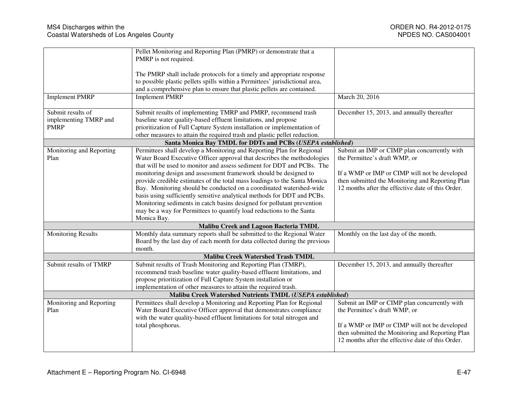|                                                           | Pellet Monitoring and Reporting Plan (PMRP) or demonstrate that a                                                     |                                                   |  |
|-----------------------------------------------------------|-----------------------------------------------------------------------------------------------------------------------|---------------------------------------------------|--|
|                                                           | PMRP is not required.                                                                                                 |                                                   |  |
|                                                           | The PMRP shall include protocols for a timely and appropriate response                                                |                                                   |  |
|                                                           | to possible plastic pellets spills within a Permittees' jurisdictional area,                                          |                                                   |  |
|                                                           | and a comprehensive plan to ensure that plastic pellets are contained.                                                |                                                   |  |
| <b>Implement PMRP</b>                                     | <b>Implement PMRP</b>                                                                                                 | March 20, 2016                                    |  |
|                                                           |                                                                                                                       |                                                   |  |
| Submit results of                                         | Submit results of implementing TMRP and PMRP, recommend trash                                                         | December 15, 2013, and annually thereafter        |  |
| implementing TMRP and                                     | baseline water quality-based effluent limitations, and propose                                                        |                                                   |  |
| <b>PMRP</b>                                               | prioritization of Full Capture System installation or implementation of                                               |                                                   |  |
|                                                           | other measures to attain the required trash and plastic pellet reduction.                                             |                                                   |  |
|                                                           | Santa Monica Bay TMDL for DDTs and PCBs (USEPA established)                                                           |                                                   |  |
| Monitoring and Reporting                                  | Permittees shall develop a Monitoring and Reporting Plan for Regional                                                 | Submit an IMP or CIMP plan concurrently with      |  |
| Plan                                                      | Water Board Executive Officer approval that describes the methodologies                                               | the Permittee's draft WMP, or                     |  |
|                                                           | that will be used to monitor and assess sediment for DDT and PCBs. The                                                |                                                   |  |
|                                                           | monitoring design and assessment framework should be designed to                                                      | If a WMP or IMP or CIMP will not be developed     |  |
|                                                           | provide credible estimates of the total mass loadings to the Santa Monica                                             | then submitted the Monitoring and Reporting Plan  |  |
|                                                           | Bay. Monitoring should be conducted on a coordinated watershed-wide                                                   | 12 months after the effective date of this Order. |  |
|                                                           | basis using sufficiently sensitive analytical methods for DDT and PCBs.                                               |                                                   |  |
|                                                           | Monitoring sediments in catch basins designed for pollutant prevention                                                |                                                   |  |
|                                                           | may be a way for Permittees to quantify load reductions to the Santa                                                  |                                                   |  |
|                                                           | Monica Bay.                                                                                                           |                                                   |  |
|                                                           | <b>Malibu Creek and Lagoon Bacteria TMDL</b><br>Monthly data summary reports shall be submitted to the Regional Water |                                                   |  |
| <b>Monitoring Results</b>                                 | Board by the last day of each month for data collected during the previous                                            | Monthly on the last day of the month.             |  |
|                                                           | month.                                                                                                                |                                                   |  |
|                                                           | <b>Malibu Creek Watershed Trash TMDL</b>                                                                              |                                                   |  |
| Submit results of TMRP                                    | Submit results of Trash Monitoring and Reporting Plan (TMRP),                                                         | December 15, 2013, and annually thereafter        |  |
|                                                           | recommend trash baseline water quality-based effluent limitations, and                                                |                                                   |  |
|                                                           | propose prioritization of Full Capture System installation or                                                         |                                                   |  |
|                                                           | implementation of other measures to attain the required trash.                                                        |                                                   |  |
| Malibu Creek Watershed Nutrients TMDL (USEPA established) |                                                                                                                       |                                                   |  |
| Monitoring and Reporting                                  | Permittees shall develop a Monitoring and Reporting Plan for Regional                                                 | Submit an IMP or CIMP plan concurrently with      |  |
| Plan                                                      | Water Board Executive Officer approval that demonstrates compliance                                                   | the Permittee's draft WMP, or                     |  |
|                                                           | with the water quality-based effluent limitations for total nitrogen and                                              |                                                   |  |
|                                                           | total phosphorus.                                                                                                     | If a WMP or IMP or CIMP will not be developed     |  |
|                                                           |                                                                                                                       | then submitted the Monitoring and Reporting Plan  |  |
|                                                           |                                                                                                                       | 12 months after the effective date of this Order. |  |
|                                                           |                                                                                                                       |                                                   |  |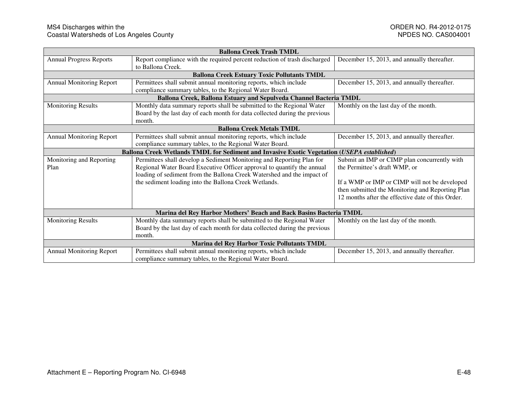| <b>Ballona Creek Trash TMDL</b>                                    |                                                                                             |                                                   |  |
|--------------------------------------------------------------------|---------------------------------------------------------------------------------------------|---------------------------------------------------|--|
| <b>Annual Progress Reports</b>                                     | Report compliance with the required percent reduction of trash discharged                   | December 15, 2013, and annually thereafter.       |  |
|                                                                    | to Ballona Creek.                                                                           |                                                   |  |
|                                                                    | <b>Ballona Creek Estuary Toxic Pollutants TMDL</b>                                          |                                                   |  |
| <b>Annual Monitoring Report</b>                                    | Permittees shall submit annual monitoring reports, which include                            | December 15, 2013, and annually thereafter.       |  |
|                                                                    | compliance summary tables, to the Regional Water Board.                                     |                                                   |  |
|                                                                    | Ballona Creek, Ballona Estuary and Sepulveda Channel Bacteria TMDL                          |                                                   |  |
| <b>Monitoring Results</b>                                          | Monthly data summary reports shall be submitted to the Regional Water                       | Monthly on the last day of the month.             |  |
|                                                                    | Board by the last day of each month for data collected during the previous                  |                                                   |  |
|                                                                    | month.                                                                                      |                                                   |  |
| <b>Ballona Creek Metals TMDL</b>                                   |                                                                                             |                                                   |  |
| <b>Annual Monitoring Report</b>                                    | Permittees shall submit annual monitoring reports, which include                            | December 15, 2013, and annually thereafter.       |  |
|                                                                    | compliance summary tables, to the Regional Water Board.                                     |                                                   |  |
|                                                                    | Ballona Creek Wetlands TMDL for Sediment and Invasive Exotic Vegetation (USEPA established) |                                                   |  |
| Monitoring and Reporting                                           | Permittees shall develop a Sediment Monitoring and Reporting Plan for                       | Submit an IMP or CIMP plan concurrently with      |  |
| Plan                                                               | Regional Water Board Executive Officer approval to quantify the annual                      | the Permittee's draft WMP, or                     |  |
|                                                                    | loading of sediment from the Ballona Creek Watershed and the impact of                      |                                                   |  |
|                                                                    | the sediment loading into the Ballona Creek Wetlands.                                       | If a WMP or IMP or CIMP will not be developed     |  |
|                                                                    |                                                                                             | then submitted the Monitoring and Reporting Plan  |  |
|                                                                    |                                                                                             | 12 months after the effective date of this Order. |  |
|                                                                    |                                                                                             |                                                   |  |
| Marina del Rey Harbor Mothers' Beach and Back Basins Bacteria TMDL |                                                                                             |                                                   |  |
| <b>Monitoring Results</b>                                          | Monthly data summary reports shall be submitted to the Regional Water                       | Monthly on the last day of the month.             |  |
|                                                                    | Board by the last day of each month for data collected during the previous                  |                                                   |  |
|                                                                    | month.                                                                                      |                                                   |  |
| Marina del Rey Harbor Toxic Pollutants TMDL                        |                                                                                             |                                                   |  |
| <b>Annual Monitoring Report</b>                                    | Permittees shall submit annual monitoring reports, which include                            | December 15, 2013, and annually thereafter.       |  |
|                                                                    | compliance summary tables, to the Regional Water Board.                                     |                                                   |  |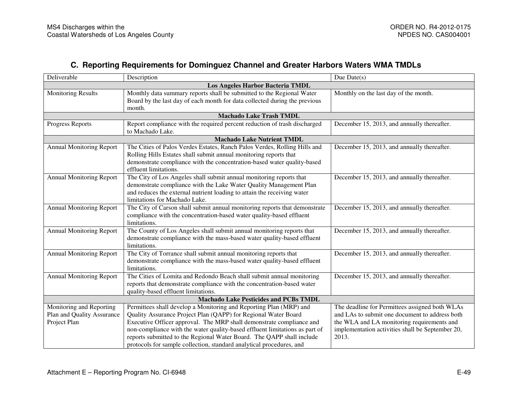## **C. Reporting Requirements for Dominguez Channel and Greater Harbors Waters WMA TMDLs**

| Deliverable                                  | Description                                                                 | Due $Date(s)$                                    |  |
|----------------------------------------------|-----------------------------------------------------------------------------|--------------------------------------------------|--|
| Los Angeles Harbor Bacteria TMDL             |                                                                             |                                                  |  |
| <b>Monitoring Results</b>                    | Monthly data summary reports shall be submitted to the Regional Water       | Monthly on the last day of the month.            |  |
|                                              | Board by the last day of each month for data collected during the previous  |                                                  |  |
|                                              | month.                                                                      |                                                  |  |
|                                              | <b>Machado Lake Trash TMDL</b>                                              |                                                  |  |
| Progress Reports                             | Report compliance with the required percent reduction of trash discharged   | December 15, 2013, and annually thereafter.      |  |
|                                              | to Machado Lake.                                                            |                                                  |  |
|                                              | <b>Machado Lake Nutrient TMDL</b>                                           |                                                  |  |
| <b>Annual Monitoring Report</b>              | The Cities of Palos Verdes Estates, Ranch Palos Verdes, Rolling Hills and   | December 15, 2013, and annually thereafter.      |  |
|                                              | Rolling Hills Estates shall submit annual monitoring reports that           |                                                  |  |
|                                              | demonstrate compliance with the concentration-based water quality-based     |                                                  |  |
|                                              | effluent limitations.                                                       |                                                  |  |
| <b>Annual Monitoring Report</b>              | The City of Los Angeles shall submit annual monitoring reports that         | December 15, 2013, and annually thereafter.      |  |
|                                              | demonstrate compliance with the Lake Water Quality Management Plan          |                                                  |  |
|                                              | and reduces the external nutrient loading to attain the receiving water     |                                                  |  |
|                                              | limitations for Machado Lake.                                               |                                                  |  |
| <b>Annual Monitoring Report</b>              | The City of Carson shall submit annual monitoring reports that demonstrate  | December 15, 2013, and annually thereafter.      |  |
|                                              | compliance with the concentration-based water quality-based effluent        |                                                  |  |
|                                              | limitations.                                                                |                                                  |  |
| <b>Annual Monitoring Report</b>              | The County of Los Angeles shall submit annual monitoring reports that       | December 15, 2013, and annually thereafter.      |  |
|                                              | demonstrate compliance with the mass-based water quality-based effluent     |                                                  |  |
|                                              | limitations.                                                                |                                                  |  |
| <b>Annual Monitoring Report</b>              | The City of Torrance shall submit annual monitoring reports that            | December 15, 2013, and annually thereafter.      |  |
|                                              | demonstrate compliance with the mass-based water quality-based effluent     |                                                  |  |
|                                              | limitations.                                                                |                                                  |  |
| <b>Annual Monitoring Report</b>              | The Cities of Lomita and Redondo Beach shall submit annual monitoring       | December 15, 2013, and annually thereafter.      |  |
|                                              | reports that demonstrate compliance with the concentration-based water      |                                                  |  |
|                                              | quality-based effluent limitations.                                         |                                                  |  |
| <b>Machado Lake Pesticides and PCBs TMDL</b> |                                                                             |                                                  |  |
| Monitoring and Reporting                     | Permittees shall develop a Monitoring and Reporting Plan (MRP) and          | The deadline for Permittees assigned both WLAs   |  |
| Plan and Quality Assurance                   | Quality Assurance Project Plan (QAPP) for Regional Water Board              | and LAs to submit one document to address both   |  |
| Project Plan                                 | Executive Officer approval. The MRP shall demonstrate compliance and        | the WLA and LA monitoring requirements and       |  |
|                                              | non-compliance with the water quality-based effluent limitations as part of | implementation activities shall be September 20, |  |
|                                              | reports submitted to the Regional Water Board. The QAPP shall include       | 2013.                                            |  |
|                                              | protocols for sample collection, standard analytical procedures, and        |                                                  |  |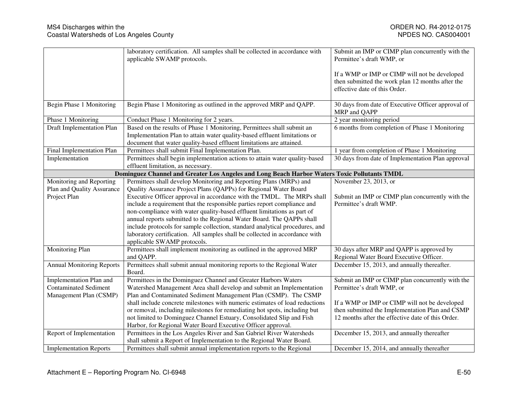|                                  | laboratory certification. All samples shall be collected in accordance with<br>applicable SWAMP protocols.        | Submit an IMP or CIMP plan concurrently with the<br>Permittee's draft WMP, or                                                      |
|----------------------------------|-------------------------------------------------------------------------------------------------------------------|------------------------------------------------------------------------------------------------------------------------------------|
|                                  |                                                                                                                   | If a WMP or IMP or CIMP will not be developed<br>then submitted the work plan 12 months after the<br>effective date of this Order. |
| Begin Phase 1 Monitoring         | Begin Phase 1 Monitoring as outlined in the approved MRP and QAPP.                                                | 30 days from date of Executive Officer approval of<br>MRP and QAPP                                                                 |
| Phase 1 Monitoring               | Conduct Phase 1 Monitoring for 2 years.                                                                           | 2 year monitoring period                                                                                                           |
| Draft Implementation Plan        | Based on the results of Phase 1 Monitoring, Permittees shall submit an                                            | 6 months from completion of Phase 1 Monitoring                                                                                     |
|                                  | Implementation Plan to attain water quality-based effluent limitations or                                         |                                                                                                                                    |
|                                  | document that water quality-based effluent limitations are attained.                                              |                                                                                                                                    |
| Final Implementation Plan        | Permittees shall submit Final Implementation Plan.                                                                | 1 year from completion of Phase 1 Monitoring                                                                                       |
| Implementation                   | Permittees shall begin implementation actions to attain water quality-based<br>effluent limitation, as necessary. | 30 days from date of Implementation Plan approval                                                                                  |
|                                  | Dominguez Channel and Greater Los Angeles and Long Beach Harbor Waters Toxic Pollutants TMDL                      |                                                                                                                                    |
| Monitoring and Reporting         | Permittees shall develop Monitoring and Reporting Plans (MRPs) and                                                | November 23, 2013, or                                                                                                              |
| Plan and Quality Assurance       | Quality Assurance Project Plans (QAPPs) for Regional Water Board                                                  |                                                                                                                                    |
| Project Plan                     | Executive Officer approval in accordance with the TMDL. The MRPs shall                                            | Submit an IMP or CIMP plan concurrently with the                                                                                   |
|                                  | include a requirement that the responsible parties report compliance and                                          | Permittee's draft WMP.                                                                                                             |
|                                  | non-compliance with water quality-based effluent limitations as part of                                           |                                                                                                                                    |
|                                  | annual reports submitted to the Regional Water Board. The QAPPs shall                                             |                                                                                                                                    |
|                                  | include protocols for sample collection, standard analytical procedures, and                                      |                                                                                                                                    |
|                                  | laboratory certification. All samples shall be collected in accordance with                                       |                                                                                                                                    |
|                                  | applicable SWAMP protocols.                                                                                       |                                                                                                                                    |
| Monitoring Plan                  | Permittees shall implement monitoring as outlined in the approved MRP                                             | 30 days after MRP and QAPP is approved by                                                                                          |
|                                  | and QAPP.                                                                                                         | Regional Water Board Executive Officer.                                                                                            |
| <b>Annual Monitoring Reports</b> | Permittees shall submit annual monitoring reports to the Regional Water                                           | December 15, 2013, and annually thereafter.                                                                                        |
|                                  | Board.                                                                                                            |                                                                                                                                    |
| Implementation Plan and          | Permittees in the Dominguez Channel and Greater Harbors Waters                                                    | Submit an IMP or CIMP plan concurrently with the                                                                                   |
| <b>Contaminated Sediment</b>     | Watershed Management Area shall develop and submit an Implementation                                              | Permittee's draft WMP, or                                                                                                          |
| Management Plan (CSMP)           | Plan and Contaminated Sediment Management Plan (CSMP). The CSMP                                                   |                                                                                                                                    |
|                                  | shall include concrete milestones with numeric estimates of load reductions                                       | If a WMP or IMP or CIMP will not be developed                                                                                      |
|                                  | or removal, including milestones for remediating hot spots, including but                                         | then submitted the Implementation Plan and CSMP                                                                                    |
|                                  | not limited to Dominguez Channel Estuary, Consolidated Slip and Fish                                              | 12 months after the effective date of this Order.                                                                                  |
|                                  | Harbor, for Regional Water Board Executive Officer approval.                                                      |                                                                                                                                    |
| Report of Implementation         | Permittees in the Los Angeles River and San Gabriel River Watersheds                                              | December 15, 2013, and annually thereafter                                                                                         |
|                                  | shall submit a Report of Implementation to the Regional Water Board.                                              |                                                                                                                                    |
| <b>Implementation Reports</b>    | Permittees shall submit annual implementation reports to the Regional                                             | December 15, 2014, and annually thereafter                                                                                         |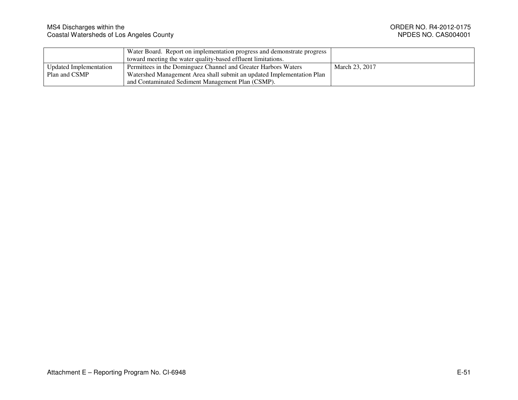|                        | Water Board. Report on implementation progress and demonstrate progress |                |
|------------------------|-------------------------------------------------------------------------|----------------|
|                        | toward meeting the water quality-based effluent limitations.            |                |
| Updated Implementation | Permittees in the Dominguez Channel and Greater Harbors Waters          | March 23, 2017 |
| Plan and CSMP          | Watershed Management Area shall submit an updated Implementation Plan   |                |
|                        | and Contaminated Sediment Management Plan (CSMP).                       |                |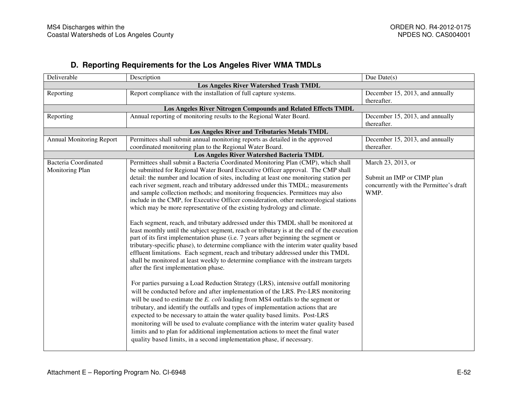## **D. Reporting Requirements for the Los Angeles River WMA TMDLs**

| Deliverable                                   | Description                                                                                | Due Date $(s)$                                 |  |
|-----------------------------------------------|--------------------------------------------------------------------------------------------|------------------------------------------------|--|
| <b>Los Angeles River Watershed Trash TMDL</b> |                                                                                            |                                                |  |
| Reporting                                     | Report compliance with the installation of full capture systems.                           | December 15, 2013, and annually<br>thereafter. |  |
|                                               | Los Angeles River Nitrogen Compounds and Related Effects TMDL                              |                                                |  |
| Reporting                                     | Annual reporting of monitoring results to the Regional Water Board.                        | December 15, 2013, and annually<br>thereafter. |  |
|                                               | Los Angeles River and Tributaries Metals TMDL                                              |                                                |  |
| <b>Annual Monitoring Report</b>               | Permittees shall submit annual monitoring reports as detailed in the approved              | December 15, 2013, and annually                |  |
|                                               | coordinated monitoring plan to the Regional Water Board.                                   | thereafter.                                    |  |
|                                               | Los Angeles River Watershed Bacteria TMDL                                                  |                                                |  |
| <b>Bacteria Coordinated</b>                   | Permittees shall submit a Bacteria Coordinated Monitoring Plan (CMP), which shall          | March 23, 2013, or                             |  |
| Monitoring Plan                               | be submitted for Regional Water Board Executive Officer approval. The CMP shall            |                                                |  |
|                                               | detail: the number and location of sites, including at least one monitoring station per    | Submit an IMP or CIMP plan                     |  |
|                                               | each river segment, reach and tributary addressed under this TMDL; measurements            | concurrently with the Permittee's draft        |  |
|                                               | and sample collection methods; and monitoring frequencies. Permittees may also             | WMP.                                           |  |
|                                               | include in the CMP, for Executive Officer consideration, other meteorological stations     |                                                |  |
|                                               | which may be more representative of the existing hydrology and climate.                    |                                                |  |
|                                               |                                                                                            |                                                |  |
|                                               | Each segment, reach, and tributary addressed under this TMDL shall be monitored at         |                                                |  |
|                                               | least monthly until the subject segment, reach or tributary is at the end of the execution |                                                |  |
|                                               | part of its first implementation phase (i.e. 7 years after beginning the segment or        |                                                |  |
|                                               | tributary-specific phase), to determine compliance with the interim water quality based    |                                                |  |
|                                               | effluent limitations. Each segment, reach and tributary addressed under this TMDL          |                                                |  |
|                                               | shall be monitored at least weekly to determine compliance with the instream targets       |                                                |  |
|                                               | after the first implementation phase.                                                      |                                                |  |
|                                               |                                                                                            |                                                |  |
|                                               | For parties pursuing a Load Reduction Strategy (LRS), intensive outfall monitoring         |                                                |  |
|                                               | will be conducted before and after implementation of the LRS. Pre-LRS monitoring           |                                                |  |
|                                               | will be used to estimate the E. coli loading from MS4 outfalls to the segment or           |                                                |  |
|                                               | tributary, and identify the outfalls and types of implementation actions that are          |                                                |  |
|                                               | expected to be necessary to attain the water quality based limits. Post-LRS                |                                                |  |
|                                               | monitoring will be used to evaluate compliance with the interim water quality based        |                                                |  |
|                                               | limits and to plan for additional implementation actions to meet the final water           |                                                |  |
|                                               | quality based limits, in a second implementation phase, if necessary.                      |                                                |  |
|                                               |                                                                                            |                                                |  |
|                                               |                                                                                            |                                                |  |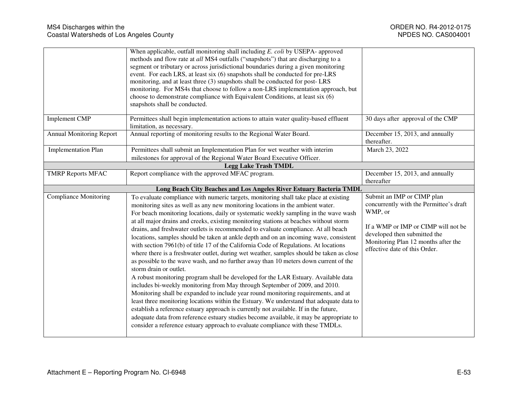|                                 | When applicable, outfall monitoring shall including E. coli by USEPA- approved           |                                         |
|---------------------------------|------------------------------------------------------------------------------------------|-----------------------------------------|
|                                 | methods and flow rate at all MS4 outfalls ("snapshots") that are discharging to a        |                                         |
|                                 | segment or tributary or across jurisdictional boundaries during a given monitoring       |                                         |
|                                 | event. For each LRS, at least six (6) snapshots shall be conducted for pre-LRS           |                                         |
|                                 | monitoring, and at least three (3) snapshots shall be conducted for post-LRS             |                                         |
|                                 | monitoring. For MS4s that choose to follow a non-LRS implementation approach, but        |                                         |
|                                 | choose to demonstrate compliance with Equivalent Conditions, at least six (6)            |                                         |
|                                 | snapshots shall be conducted.                                                            |                                         |
| <b>Implement CMP</b>            | Permittees shall begin implementation actions to attain water quality-based effluent     | 30 days after approval of the CMP       |
|                                 | limitation, as necessary.                                                                |                                         |
| <b>Annual Monitoring Report</b> | Annual reporting of monitoring results to the Regional Water Board.                      | December 15, 2013, and annually         |
|                                 |                                                                                          | thereafter.                             |
| <b>Implementation Plan</b>      | Permittees shall submit an Implementation Plan for wet weather with interim              | March 23, 2022                          |
|                                 | milestones for approval of the Regional Water Board Executive Officer.                   |                                         |
|                                 | <b>Legg Lake Trash TMDL</b>                                                              |                                         |
| <b>TMRP Reports MFAC</b>        | Report compliance with the approved MFAC program.                                        | December 15, 2013, and annually         |
|                                 |                                                                                          | thereafter                              |
|                                 | Long Beach City Beaches and Los Angeles River Estuary Bacteria TMDL                      |                                         |
| <b>Compliance Monitoring</b>    | To evaluate compliance with numeric targets, monitoring shall take place at existing     | Submit an IMP or CIMP plan              |
|                                 | monitoring sites as well as any new monitoring locations in the ambient water.           | concurrently with the Permittee's draft |
|                                 | For beach monitoring locations, daily or systematic weekly sampling in the wave wash     | WMP, or                                 |
|                                 | at all major drains and creeks, existing monitoring stations at beaches without storm    |                                         |
|                                 | drains, and freshwater outlets is recommended to evaluate compliance. At all beach       | If a WMP or IMP or CIMP will not be     |
|                                 | locations, samples should be taken at ankle depth and on an incoming wave, consistent    | developed then submitted the            |
|                                 | with section 7961(b) of title 17 of the California Code of Regulations. At locations     | Monitoring Plan 12 months after the     |
|                                 | where there is a freshwater outlet, during wet weather, samples should be taken as close | effective date of this Order.           |
|                                 | as possible to the wave wash, and no further away than 10 meters down current of the     |                                         |
|                                 | storm drain or outlet.                                                                   |                                         |
|                                 | A robust monitoring program shall be developed for the LAR Estuary. Available data       |                                         |
|                                 | includes bi-weekly monitoring from May through September of 2009, and 2010.              |                                         |
|                                 |                                                                                          |                                         |
|                                 |                                                                                          |                                         |
|                                 | Monitoring shall be expanded to include year round monitoring requirements, and at       |                                         |
|                                 | least three monitoring locations within the Estuary. We understand that adequate data to |                                         |
|                                 | establish a reference estuary approach is currently not available. If in the future,     |                                         |
|                                 | adequate data from reference estuary studies become available, it may be appropriate to  |                                         |
|                                 | consider a reference estuary approach to evaluate compliance with these TMDLs.           |                                         |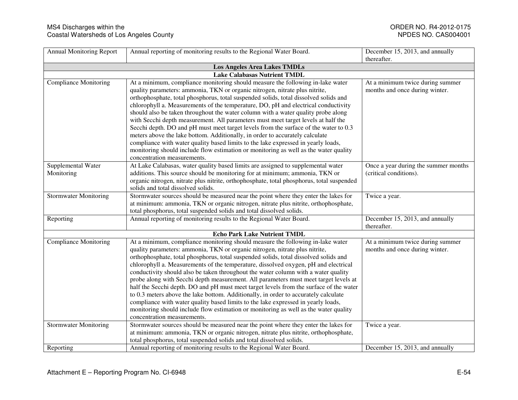| <b>Annual Monitoring Report</b> | Annual reporting of monitoring results to the Regional Water Board.                       | December 15, 2013, and annually      |
|---------------------------------|-------------------------------------------------------------------------------------------|--------------------------------------|
|                                 |                                                                                           | thereafter.                          |
|                                 | <b>Los Angeles Area Lakes TMDLs</b>                                                       |                                      |
|                                 | <b>Lake Calabasas Nutrient TMDL</b>                                                       |                                      |
| <b>Compliance Monitoring</b>    | At a minimum, compliance monitoring should measure the following in-lake water            | At a minimum twice during summer     |
|                                 | quality parameters: ammonia, TKN or organic nitrogen, nitrate plus nitrite,               | months and once during winter.       |
|                                 | orthophosphate, total phosphorus, total suspended solids, total dissolved solids and      |                                      |
|                                 | chlorophyll a. Measurements of the temperature, DO, pH and electrical conductivity        |                                      |
|                                 | should also be taken throughout the water column with a water quality probe along         |                                      |
|                                 | with Secchi depth measurement. All parameters must meet target levels at half the         |                                      |
|                                 | Secchi depth. DO and pH must meet target levels from the surface of the water to 0.3      |                                      |
|                                 | meters above the lake bottom. Additionally, in order to accurately calculate              |                                      |
|                                 | compliance with water quality based limits to the lake expressed in yearly loads,         |                                      |
|                                 | monitoring should include flow estimation or monitoring as well as the water quality      |                                      |
|                                 | concentration measurements.                                                               |                                      |
| Supplemental Water              | At Lake Calabasas, water quality based limits are assigned to supplemental water          | Once a year during the summer months |
| Monitoring                      | additions. This source should be monitoring for at minimum; ammonia, TKN or               | (critical conditions).               |
|                                 | organic nitrogen, nitrate plus nitrite, orthophosphate, total phosphorus, total suspended |                                      |
|                                 | solids and total dissolved solids.                                                        |                                      |
| <b>Stormwater Monitoring</b>    | Stormwater sources should be measured near the point where they enter the lakes for       | Twice a year.                        |
|                                 | at minimum: ammonia, TKN or organic nitrogen, nitrate plus nitrite, orthophosphate,       |                                      |
|                                 | total phosphorus, total suspended solids and total dissolved solids.                      |                                      |
| Reporting                       | Annual reporting of monitoring results to the Regional Water Board.                       | December 15, 2013, and annually      |
|                                 |                                                                                           | thereafter.                          |
|                                 | <b>Echo Park Lake Nutrient TMDL</b>                                                       |                                      |
| <b>Compliance Monitoring</b>    | At a minimum, compliance monitoring should measure the following in-lake water            | At a minimum twice during summer     |
|                                 | quality parameters: ammonia, TKN or organic nitrogen, nitrate plus nitrite,               | months and once during winter.       |
|                                 | orthophosphate, total phosphorus, total suspended solids, total dissolved solids and      |                                      |
|                                 | chlorophyll a. Measurements of the temperature, dissolved oxygen, pH and electrical       |                                      |
|                                 | conductivity should also be taken throughout the water column with a water quality        |                                      |
|                                 | probe along with Secchi depth measurement. All parameters must meet target levels at      |                                      |
|                                 | half the Secchi depth. DO and pH must meet target levels from the surface of the water    |                                      |
|                                 | to 0.3 meters above the lake bottom. Additionally, in order to accurately calculate       |                                      |
|                                 | compliance with water quality based limits to the lake expressed in yearly loads,         |                                      |
|                                 | monitoring should include flow estimation or monitoring as well as the water quality      |                                      |
|                                 | concentration measurements.                                                               |                                      |
| <b>Stormwater Monitoring</b>    | Stormwater sources should be measured near the point where they enter the lakes for       | Twice a year.                        |
|                                 | at minimum: ammonia, TKN or organic nitrogen, nitrate plus nitrite, orthophosphate,       |                                      |
|                                 | total phosphorus, total suspended solids and total dissolved solids.                      |                                      |
| Reporting                       | Annual reporting of monitoring results to the Regional Water Board.                       | December 15, 2013, and annually      |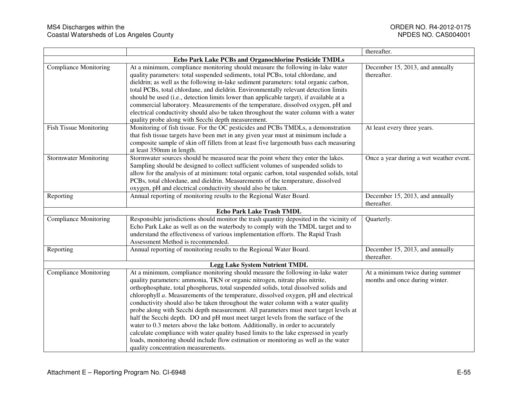|                               |                                                                                                                                                                                                                                                                                                                                                                                                                                                                                                                                                                                                                                                                                                                                                                                                                                                                                                                         | thereafter.                                                        |
|-------------------------------|-------------------------------------------------------------------------------------------------------------------------------------------------------------------------------------------------------------------------------------------------------------------------------------------------------------------------------------------------------------------------------------------------------------------------------------------------------------------------------------------------------------------------------------------------------------------------------------------------------------------------------------------------------------------------------------------------------------------------------------------------------------------------------------------------------------------------------------------------------------------------------------------------------------------------|--------------------------------------------------------------------|
|                               | Echo Park Lake PCBs and Organochlorine Pesticide TMDLs                                                                                                                                                                                                                                                                                                                                                                                                                                                                                                                                                                                                                                                                                                                                                                                                                                                                  |                                                                    |
| <b>Compliance Monitoring</b>  | At a minimum, compliance monitoring should measure the following in-lake water<br>quality parameters: total suspended sediments, total PCBs, total chlordane, and<br>dieldrin; as well as the following in-lake sediment parameters: total organic carbon,<br>total PCBs, total chlordane, and dieldrin. Environmentally relevant detection limits                                                                                                                                                                                                                                                                                                                                                                                                                                                                                                                                                                      | December 15, 2013, and annually<br>thereafter.                     |
|                               | should be used (i.e., detection limits lower than applicable target), if available at a<br>commercial laboratory. Measurements of the temperature, dissolved oxygen, pH and<br>electrical conductivity should also be taken throughout the water column with a water<br>quality probe along with Secchi depth measurement.                                                                                                                                                                                                                                                                                                                                                                                                                                                                                                                                                                                              |                                                                    |
| <b>Fish Tissue Monitoring</b> | Monitoring of fish tissue. For the OC pesticides and PCBs TMDLs, a demonstration<br>that fish tissue targets have been met in any given year must at minimum include a<br>composite sample of skin off fillets from at least five largemouth bass each measuring<br>at least 350mm in length.                                                                                                                                                                                                                                                                                                                                                                                                                                                                                                                                                                                                                           | At least every three years.                                        |
| <b>Stormwater Monitoring</b>  | Stormwater sources should be measured near the point where they enter the lakes.<br>Sampling should be designed to collect sufficient volumes of suspended solids to<br>allow for the analysis of at minimum: total organic carbon, total suspended solids, total<br>PCBs, total chlordane, and dieldrin. Measurements of the temperature, dissolved<br>oxygen, pH and electrical conductivity should also be taken.                                                                                                                                                                                                                                                                                                                                                                                                                                                                                                    | Once a year during a wet weather event.                            |
| Reporting                     | Annual reporting of monitoring results to the Regional Water Board.                                                                                                                                                                                                                                                                                                                                                                                                                                                                                                                                                                                                                                                                                                                                                                                                                                                     | December 15, 2013, and annually<br>thereafter.                     |
|                               | <b>Echo Park Lake Trash TMDL</b>                                                                                                                                                                                                                                                                                                                                                                                                                                                                                                                                                                                                                                                                                                                                                                                                                                                                                        |                                                                    |
| <b>Compliance Monitoring</b>  | Responsible jurisdictions should monitor the trash quantity deposited in the vicinity of<br>Echo Park Lake as well as on the waterbody to comply with the TMDL target and to<br>understand the effectiveness of various implementation efforts. The Rapid Trash<br>Assessment Method is recommended.                                                                                                                                                                                                                                                                                                                                                                                                                                                                                                                                                                                                                    | Quarterly.                                                         |
| Reporting                     | Annual reporting of monitoring results to the Regional Water Board.                                                                                                                                                                                                                                                                                                                                                                                                                                                                                                                                                                                                                                                                                                                                                                                                                                                     | December 15, 2013, and annually<br>thereafter.                     |
|                               | <b>Legg Lake System Nutrient TMDL</b>                                                                                                                                                                                                                                                                                                                                                                                                                                                                                                                                                                                                                                                                                                                                                                                                                                                                                   |                                                                    |
| <b>Compliance Monitoring</b>  | At a minimum, compliance monitoring should measure the following in-lake water<br>quality parameters: ammonia, TKN or organic nitrogen, nitrate plus nitrite,<br>orthophosphate, total phosphorus, total suspended solids, total dissolved solids and<br>chlorophyll a. Measurements of the temperature, dissolved oxygen, pH and electrical<br>conductivity should also be taken throughout the water column with a water quality<br>probe along with Secchi depth measurement. All parameters must meet target levels at<br>half the Secchi depth. DO and pH must meet target levels from the surface of the<br>water to 0.3 meters above the lake bottom. Additionally, in order to accurately<br>calculate compliance with water quality based limits to the lake expressed in yearly<br>loads, monitoring should include flow estimation or monitoring as well as the water<br>quality concentration measurements. | At a minimum twice during summer<br>months and once during winter. |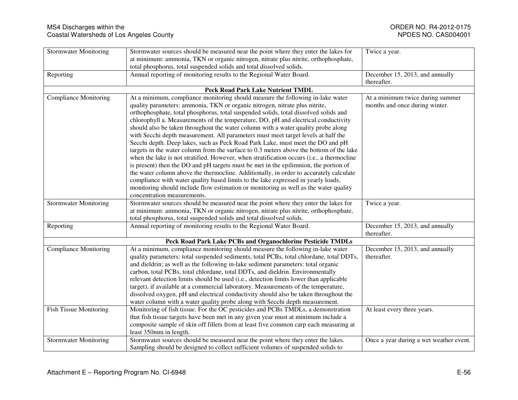| <b>Stormwater Monitoring</b>  | Stormwater sources should be measured near the point where they enter the lakes for                        | Twice a year.                           |
|-------------------------------|------------------------------------------------------------------------------------------------------------|-----------------------------------------|
|                               | at minimum: ammonia, TKN or organic nitrogen, nitrate plus nitrite, orthophosphate,                        |                                         |
|                               | total phosphorus, total suspended solids and total dissolved solids.                                       |                                         |
|                               | Annual reporting of monitoring results to the Regional Water Board.                                        | December 15, 2013, and annually         |
| Reporting                     |                                                                                                            | thereafter.                             |
|                               |                                                                                                            |                                         |
|                               | <b>Peck Road Park Lake Nutrient TMDL</b>                                                                   |                                         |
| <b>Compliance Monitoring</b>  | At a minimum, compliance monitoring should measure the following in-lake water                             | At a minimum twice during summer        |
|                               | quality parameters: ammonia, TKN or organic nitrogen, nitrate plus nitrite,                                | months and once during winter.          |
|                               | orthophosphate, total phosphorus, total suspended solids, total dissolved solids and                       |                                         |
|                               | chlorophyll a. Measurements of the temperature, DO, pH and electrical conductivity                         |                                         |
|                               | should also be taken throughout the water column with a water quality probe along                          |                                         |
|                               | with Secchi depth measurement. All parameters must meet target levels at half the                          |                                         |
|                               | Secchi depth. Deep lakes, such as Peck Road Park Lake, must meet the DO and pH                             |                                         |
|                               | targets in the water column from the surface to 0.3 meters above the bottom of the lake                    |                                         |
|                               | when the lake is not stratified. However, when stratification occurs (i.e., a thermocline                  |                                         |
|                               | is present) then the DO and pH targets must be met in the epilimnion, the portion of                       |                                         |
|                               | the water column above the thermocline. Additionally, in order to accurately calculate                     |                                         |
|                               | compliance with water quality based limits to the lake expressed in yearly loads,                          |                                         |
|                               | monitoring should include flow estimation or monitoring as well as the water quality                       |                                         |
|                               | concentration measurements.                                                                                |                                         |
| <b>Stormwater Monitoring</b>  | Stormwater sources should be measured near the point where they enter the lakes for                        | Twice a year.                           |
|                               | at minimum: ammonia, TKN or organic nitrogen, nitrate plus nitrite, orthophosphate,                        |                                         |
|                               | total phosphorus, total suspended solids and total dissolved solids.                                       |                                         |
| Reporting                     | Annual reporting of monitoring results to the Regional Water Board.                                        | December 15, 2013, and annually         |
|                               |                                                                                                            | thereafter.                             |
|                               | Peck Road Park Lake PCBs and Organochlorine Pesticide TMDLs                                                |                                         |
| <b>Compliance Monitoring</b>  | At a minimum, compliance monitoring should measure the following in-lake water                             | December 15, 2013, and annually         |
|                               | quality parameters: total suspended sediments, total PCBs, total chlordane, total DDTs,                    | thereafter.                             |
|                               | and dieldrin; as well as the following in-lake sediment parameters: total organic                          |                                         |
|                               | carbon, total PCBs, total chlordane, total DDTs, and dieldrin. Environmentally                             |                                         |
|                               | relevant detection limits should be used (i.e., detection limits lower than applicable                     |                                         |
|                               | target), if available at a commercial laboratory. Measurements of the temperature,                         |                                         |
|                               | dissolved oxygen, pH and electrical conductivity should also be taken throughout the                       |                                         |
|                               | water column with a water quality probe along with Secchi depth measurement.                               |                                         |
| <b>Fish Tissue Monitoring</b> | Monitoring of fish tissue. For the OC pesticides and PCBs TMDLs, a demonstration                           | At least every three years.             |
|                               | that fish tissue targets have been met in any given year must at minimum include a                         |                                         |
|                               | composite sample of skin off fillets from at least five common carp each measuring at                      |                                         |
|                               |                                                                                                            |                                         |
|                               |                                                                                                            |                                         |
| <b>Stormwater Monitoring</b>  | least 350mm in length.<br>Stormwater sources should be measured near the point where they enter the lakes. | Once a year during a wet weather event. |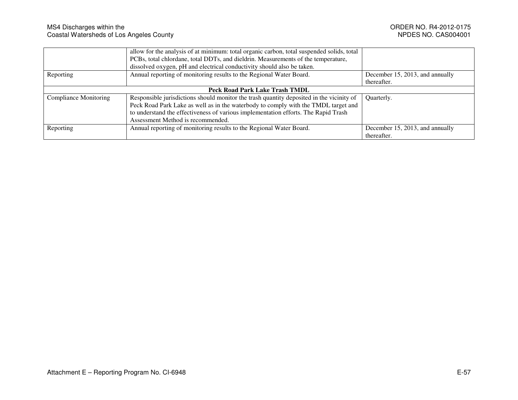|                                | allow for the analysis of at minimum: total organic carbon, total suspended solids, total |                                 |
|--------------------------------|-------------------------------------------------------------------------------------------|---------------------------------|
|                                | PCBs, total chlordane, total DDTs, and dieldrin. Measurements of the temperature,         |                                 |
|                                | dissolved oxygen, pH and electrical conductivity should also be taken.                    |                                 |
| Reporting                      | Annual reporting of monitoring results to the Regional Water Board.                       | December 15, 2013, and annually |
|                                |                                                                                           | thereafter.                     |
| Peck Road Park Lake Trash TMDL |                                                                                           |                                 |
| <b>Compliance Monitoring</b>   | Responsible jurisdictions should monitor the trash quantity deposited in the vicinity of  | Quarterly.                      |
|                                | Peck Road Park Lake as well as in the waterbody to comply with the TMDL target and        |                                 |
|                                | to understand the effectiveness of various implementation efforts. The Rapid Trash        |                                 |
|                                | Assessment Method is recommended.                                                         |                                 |
| Reporting                      | Annual reporting of monitoring results to the Regional Water Board.                       | December 15, 2013, and annually |
|                                |                                                                                           | thereafter.                     |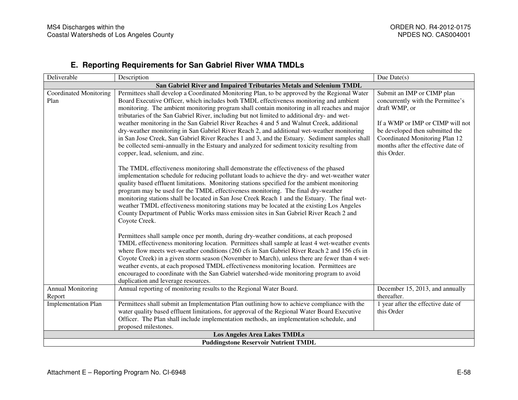## **E. Reporting Requirements for San Gabriel River WMA TMDLs**

| Deliverable                                                         | Description                                                                                                                                                                                                                                                                                                                                                                                                                                                                                                                                                                                                                                                                         | Due $Date(s)$                                                                                                                                              |  |  |
|---------------------------------------------------------------------|-------------------------------------------------------------------------------------------------------------------------------------------------------------------------------------------------------------------------------------------------------------------------------------------------------------------------------------------------------------------------------------------------------------------------------------------------------------------------------------------------------------------------------------------------------------------------------------------------------------------------------------------------------------------------------------|------------------------------------------------------------------------------------------------------------------------------------------------------------|--|--|
| San Gabriel River and Impaired Tributaries Metals and Selenium TMDL |                                                                                                                                                                                                                                                                                                                                                                                                                                                                                                                                                                                                                                                                                     |                                                                                                                                                            |  |  |
| <b>Coordinated Monitoring</b><br>Plan                               | Permittees shall develop a Coordinated Monitoring Plan, to be approved by the Regional Water<br>Board Executive Officer, which includes both TMDL effectiveness monitoring and ambient<br>monitoring. The ambient monitoring program shall contain monitoring in all reaches and major<br>tributaries of the San Gabriel River, including but not limited to additional dry- and wet-                                                                                                                                                                                                                                                                                               | Submit an IMP or CIMP plan<br>concurrently with the Permittee's<br>draft WMP, or                                                                           |  |  |
|                                                                     | weather monitoring in the San Gabriel River Reaches 4 and 5 and Walnut Creek, additional<br>dry-weather monitoring in San Gabriel River Reach 2, and additional wet-weather monitoring<br>in San Jose Creek, San Gabriel River Reaches 1 and 3, and the Estuary. Sediment samples shall<br>be collected semi-annually in the Estuary and analyzed for sediment toxicity resulting from<br>copper, lead, selenium, and zinc.                                                                                                                                                                                                                                                         | If a WMP or IMP or CIMP will not<br>be developed then submitted the<br>Coordinated Monitoring Plan 12<br>months after the effective date of<br>this Order. |  |  |
|                                                                     | The TMDL effectiveness monitoring shall demonstrate the effectiveness of the phased<br>implementation schedule for reducing pollutant loads to achieve the dry- and wet-weather water<br>quality based effluent limitations. Monitoring stations specified for the ambient monitoring<br>program may be used for the TMDL effectiveness monitoring. The final dry-weather<br>monitoring stations shall be located in San Jose Creek Reach 1 and the Estuary. The final wet-<br>weather TMDL effectiveness monitoring stations may be located at the existing Los Angeles<br>County Department of Public Works mass emission sites in San Gabriel River Reach 2 and<br>Coyote Creek. |                                                                                                                                                            |  |  |
|                                                                     | Permittees shall sample once per month, during dry-weather conditions, at each proposed<br>TMDL effectiveness monitoring location. Permittees shall sample at least 4 wet-weather events<br>where flow meets wet-weather conditions (260 cfs in San Gabriel River Reach 2 and 156 cfs in<br>Coyote Creek) in a given storm season (November to March), unless there are fewer than 4 wet-<br>weather events, at each proposed TMDL effectiveness monitoring location. Permittees are<br>encouraged to coordinate with the San Gabriel watershed-wide monitoring program to avoid<br>duplication and leverage resources.                                                             |                                                                                                                                                            |  |  |
| <b>Annual Monitoring</b><br>Report                                  | Annual reporting of monitoring results to the Regional Water Board.                                                                                                                                                                                                                                                                                                                                                                                                                                                                                                                                                                                                                 | December 15, 2013, and annually<br>thereafter.                                                                                                             |  |  |
| <b>Implementation Plan</b>                                          | Permittees shall submit an Implementation Plan outlining how to achieve compliance with the<br>water quality based effluent limitations, for approval of the Regional Water Board Executive<br>Officer. The Plan shall include implementation methods, an implementation schedule, and<br>proposed milestones.                                                                                                                                                                                                                                                                                                                                                                      | 1 year after the effective date of<br>this Order                                                                                                           |  |  |
| <b>Los Angeles Area Lakes TMDLs</b>                                 |                                                                                                                                                                                                                                                                                                                                                                                                                                                                                                                                                                                                                                                                                     |                                                                                                                                                            |  |  |
| <b>Puddingstone Reservoir Nutrient TMDL</b>                         |                                                                                                                                                                                                                                                                                                                                                                                                                                                                                                                                                                                                                                                                                     |                                                                                                                                                            |  |  |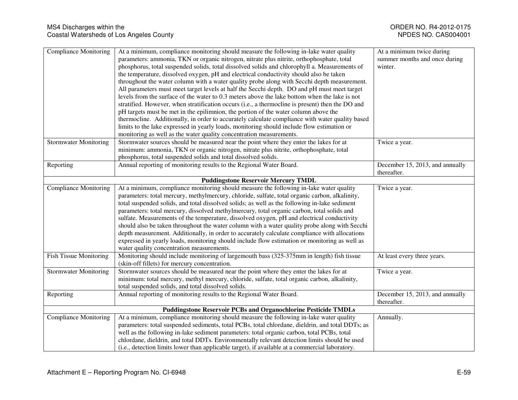| <b>Compliance Monitoring</b>                                          | At a minimum, compliance monitoring should measure the following in-lake water quality<br>parameters: ammonia, TKN or organic nitrogen, nitrate plus nitrite, orthophosphate, total<br>phosphorus, total suspended solids, total dissolved solids and chlorophyll a. Measurements of<br>the temperature, dissolved oxygen, pH and electrical conductivity should also be taken<br>throughout the water column with a water quality probe along with Secchi depth measurement.<br>All parameters must meet target levels at half the Secchi depth. DO and pH must meet target<br>levels from the surface of the water to 0.3 meters above the lake bottom when the lake is not<br>stratified. However, when stratification occurs (i.e., a thermocline is present) then the DO and<br>pH targets must be met in the epilimnion, the portion of the water column above the<br>thermocline. Additionally, in order to accurately calculate compliance with water quality based<br>limits to the lake expressed in yearly loads, monitoring should include flow estimation or<br>monitoring as well as the water quality concentration measurements. | At a minimum twice during<br>summer months and once during<br>winter. |  |
|-----------------------------------------------------------------------|--------------------------------------------------------------------------------------------------------------------------------------------------------------------------------------------------------------------------------------------------------------------------------------------------------------------------------------------------------------------------------------------------------------------------------------------------------------------------------------------------------------------------------------------------------------------------------------------------------------------------------------------------------------------------------------------------------------------------------------------------------------------------------------------------------------------------------------------------------------------------------------------------------------------------------------------------------------------------------------------------------------------------------------------------------------------------------------------------------------------------------------------------|-----------------------------------------------------------------------|--|
| <b>Stormwater Monitoring</b>                                          | Stormwater sources should be measured near the point where they enter the lakes for at<br>minimum: ammonia, TKN or organic nitrogen, nitrate plus nitrite, orthophosphate, total<br>phosphorus, total suspended solids and total dissolved solids.                                                                                                                                                                                                                                                                                                                                                                                                                                                                                                                                                                                                                                                                                                                                                                                                                                                                                               | Twice a year.                                                         |  |
| Reporting                                                             | Annual reporting of monitoring results to the Regional Water Board.                                                                                                                                                                                                                                                                                                                                                                                                                                                                                                                                                                                                                                                                                                                                                                                                                                                                                                                                                                                                                                                                              | December 15, 2013, and annually<br>thereafter.                        |  |
|                                                                       | <b>Puddingstone Reservoir Mercury TMDL</b>                                                                                                                                                                                                                                                                                                                                                                                                                                                                                                                                                                                                                                                                                                                                                                                                                                                                                                                                                                                                                                                                                                       |                                                                       |  |
| <b>Compliance Monitoring</b>                                          | At a minimum, compliance monitoring should measure the following in-lake water quality<br>parameters: total mercury, methylmercury, chloride, sulfate, total organic carbon, alkalinity,<br>total suspended solids, and total dissolved solids; as well as the following in-lake sediment<br>parameters: total mercury, dissolved methylmercury, total organic carbon, total solids and<br>sulfate. Measurements of the temperature, dissolved oxygen, pH and electrical conductivity<br>should also be taken throughout the water column with a water quality probe along with Secchi<br>depth measurement. Additionally, in order to accurately calculate compliance with allocations<br>expressed in yearly loads, monitoring should include flow estimation or monitoring as well as<br>water quality concentration measurements.                                                                                                                                                                                                                                                                                                            | Twice a year.                                                         |  |
| <b>Fish Tissue Monitoring</b>                                         | Monitoring should include monitoring of largemouth bass (325-375mm in length) fish tissue<br>(skin-off fillets) for mercury concentration.                                                                                                                                                                                                                                                                                                                                                                                                                                                                                                                                                                                                                                                                                                                                                                                                                                                                                                                                                                                                       | At least every three years.                                           |  |
| <b>Stormwater Monitoring</b>                                          | Stormwater sources should be measured near the point where they enter the lakes for at<br>minimum: total mercury, methyl mercury, chloride, sulfate, total organic carbon, alkalinity,<br>total suspended solids, and total dissolved solids.                                                                                                                                                                                                                                                                                                                                                                                                                                                                                                                                                                                                                                                                                                                                                                                                                                                                                                    | Twice a year.                                                         |  |
| Reporting                                                             | Annual reporting of monitoring results to the Regional Water Board.                                                                                                                                                                                                                                                                                                                                                                                                                                                                                                                                                                                                                                                                                                                                                                                                                                                                                                                                                                                                                                                                              | December 15, 2013, and annually<br>thereafter.                        |  |
| <b>Puddingstone Reservoir PCBs and Organochlorine Pesticide TMDLs</b> |                                                                                                                                                                                                                                                                                                                                                                                                                                                                                                                                                                                                                                                                                                                                                                                                                                                                                                                                                                                                                                                                                                                                                  |                                                                       |  |
| <b>Compliance Monitoring</b>                                          | At a minimum, compliance monitoring should measure the following in-lake water quality<br>parameters: total suspended sediments, total PCBs, total chlordane, dieldrin, and total DDTs; as<br>well as the following in-lake sediment parameters: total organic carbon, total PCBs, total<br>chlordane, dieldrin, and total DDTs. Environmentally relevant detection limits should be used<br>(i.e., detection limits lower than applicable target), if available at a commercial laboratory.                                                                                                                                                                                                                                                                                                                                                                                                                                                                                                                                                                                                                                                     | Annually.                                                             |  |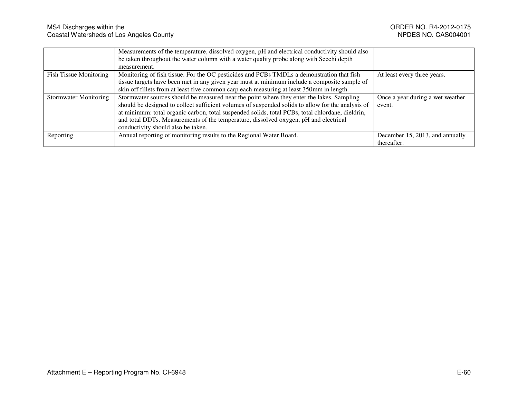|                               | Measurements of the temperature, dissolved oxygen, pH and electrical conductivity should also     |                                  |
|-------------------------------|---------------------------------------------------------------------------------------------------|----------------------------------|
|                               | be taken throughout the water column with a water quality probe along with Secchi depth           |                                  |
|                               | measurement.                                                                                      |                                  |
| <b>Fish Tissue Monitoring</b> | Monitoring of fish tissue. For the OC pesticides and PCBs TMDLs a demonstration that fish         | At least every three years.      |
|                               | tissue targets have been met in any given year must at minimum include a composite sample of      |                                  |
|                               | skin off fillets from at least five common carp each measuring at least 350mm in length.          |                                  |
| <b>Stormwater Monitoring</b>  | Stormwater sources should be measured near the point where they enter the lakes. Sampling         | Once a year during a wet weather |
|                               | should be designed to collect sufficient volumes of suspended solids to allow for the analysis of | event.                           |
|                               | at minimum: total organic carbon, total suspended solids, total PCBs, total chlordane, dieldrin,  |                                  |
|                               | and total DDTs. Measurements of the temperature, dissolved oxygen, pH and electrical              |                                  |
|                               | conductivity should also be taken.                                                                |                                  |
| Reporting                     | Annual reporting of monitoring results to the Regional Water Board.                               | December 15, 2013, and annually  |
|                               |                                                                                                   | thereafter.                      |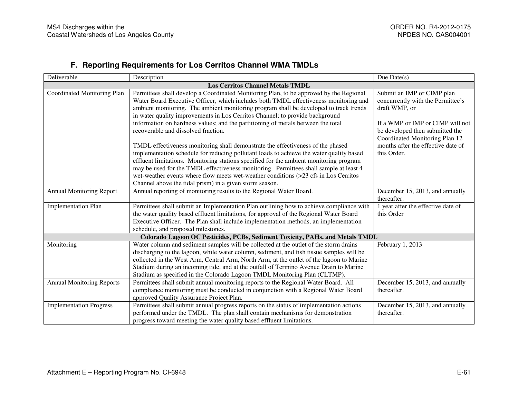## **F. Reporting Requirements for Los Cerritos Channel WMA TMDLs**

| Deliverable                             | Description                                                                              | Due Date $(s)$                     |  |  |  |
|-----------------------------------------|------------------------------------------------------------------------------------------|------------------------------------|--|--|--|
| <b>Los Cerritos Channel Metals TMDL</b> |                                                                                          |                                    |  |  |  |
| Coordinated Monitoring Plan             | Permittees shall develop a Coordinated Monitoring Plan, to be approved by the Regional   | Submit an IMP or CIMP plan         |  |  |  |
|                                         | Water Board Executive Officer, which includes both TMDL effectiveness monitoring and     | concurrently with the Permittee's  |  |  |  |
|                                         | ambient monitoring. The ambient monitoring program shall be developed to track trends    | draft WMP, or                      |  |  |  |
|                                         | in water quality improvements in Los Cerritos Channel; to provide background             |                                    |  |  |  |
|                                         | information on hardness values; and the partitioning of metals between the total         | If a WMP or IMP or CIMP will not   |  |  |  |
|                                         | recoverable and dissolved fraction.                                                      | be developed then submitted the    |  |  |  |
|                                         |                                                                                          | Coordinated Monitoring Plan 12     |  |  |  |
|                                         | TMDL effectiveness monitoring shall demonstrate the effectiveness of the phased          | months after the effective date of |  |  |  |
|                                         | implementation schedule for reducing pollutant loads to achieve the water quality based  | this Order.                        |  |  |  |
|                                         | effluent limitations. Monitoring stations specified for the ambient monitoring program   |                                    |  |  |  |
|                                         | may be used for the TMDL effectiveness monitoring. Permittees shall sample at least 4    |                                    |  |  |  |
|                                         | wet-weather events where flow meets wet-weather conditions (>23 cfs in Los Cerritos      |                                    |  |  |  |
|                                         | Channel above the tidal prism) in a given storm season.                                  |                                    |  |  |  |
| <b>Annual Monitoring Report</b>         | Annual reporting of monitoring results to the Regional Water Board.                      | December 15, 2013, and annually    |  |  |  |
|                                         |                                                                                          | thereafter.                        |  |  |  |
| <b>Implementation Plan</b>              | Permittees shall submit an Implementation Plan outlining how to achieve compliance with  | 1 year after the effective date of |  |  |  |
|                                         | the water quality based effluent limitations, for approval of the Regional Water Board   | this Order                         |  |  |  |
|                                         | Executive Officer. The Plan shall include implementation methods, an implementation      |                                    |  |  |  |
|                                         | schedule, and proposed milestones.                                                       |                                    |  |  |  |
|                                         | Colorado Lagoon OC Pesticides, PCBs, Sediment Toxicity, PAHs, and Metals TMDL            |                                    |  |  |  |
| Monitoring                              | Water column and sediment samples will be collected at the outlet of the storm drains    | February 1, 2013                   |  |  |  |
|                                         | discharging to the lagoon, while water column, sediment, and fish tissue samples will be |                                    |  |  |  |
|                                         | collected in the West Arm, Central Arm, North Arm, at the outlet of the lagoon to Marine |                                    |  |  |  |
|                                         | Stadium during an incoming tide, and at the outfall of Termino Avenue Drain to Marine    |                                    |  |  |  |
|                                         | Stadium as specified in the Colorado Lagoon TMDL Monitoring Plan (CLTMP).                |                                    |  |  |  |
| <b>Annual Monitoring Reports</b>        | Permittees shall submit annual monitoring reports to the Regional Water Board. All       | December 15, 2013, and annually    |  |  |  |
|                                         | compliance monitoring must be conducted in conjunction with a Regional Water Board       | thereafter.                        |  |  |  |
|                                         | approved Quality Assurance Project Plan.                                                 |                                    |  |  |  |
| <b>Implementation Progress</b>          | Permittees shall submit annual progress reports on the status of implementation actions  | December 15, 2013, and annually    |  |  |  |
|                                         | performed under the TMDL. The plan shall contain mechanisms for demonstration            | thereafter.                        |  |  |  |
|                                         | progress toward meeting the water quality based effluent limitations.                    |                                    |  |  |  |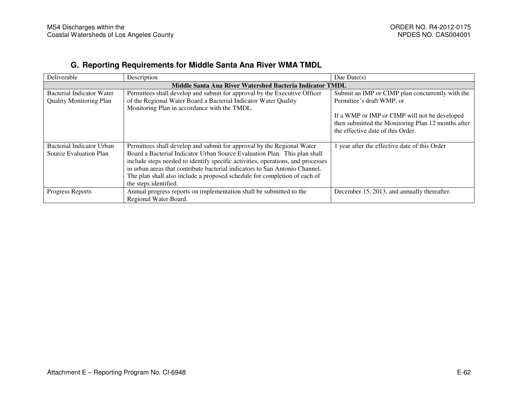## **G. Reporting Requirements for Middle Santa Ana River WMA TMDL**

| Deliverable                                              | Description                                                                     | Due Date $(s)$                                     |  |  |
|----------------------------------------------------------|---------------------------------------------------------------------------------|----------------------------------------------------|--|--|
| Middle Santa Ana River Watershed Bacteria Indicator TMDL |                                                                                 |                                                    |  |  |
| Bacterial Indicator Water                                | Permittees shall develop and submit for approval by the Executive Officer       | Submit an IMP or CIMP plan concurrently with the   |  |  |
| <b>Quality Monitoring Plan</b>                           | of the Regional Water Board a Bacterial Indicator Water Quality                 | Permittee's draft WMP, or                          |  |  |
|                                                          | Monitoring Plan in accordance with the TMDL.                                    |                                                    |  |  |
|                                                          |                                                                                 | If a WMP or IMP or CIMP will not be developed      |  |  |
|                                                          |                                                                                 | then submitted the Monitoring Plan 12 months after |  |  |
|                                                          |                                                                                 | the effective date of this Order.                  |  |  |
|                                                          |                                                                                 |                                                    |  |  |
| Bacterial Indicator Urban                                | Permittees shall develop and submit for approval by the Regional Water          | 1 year after the effective date of this Order      |  |  |
| Source Evaluation Plan                                   | Board a Bacterial Indicator Urban Source Evaluation Plan. This plan shall       |                                                    |  |  |
|                                                          | include steps needed to identify specific activities, operations, and processes |                                                    |  |  |
|                                                          | in urban areas that contribute bacterial indicators to San Antonio Channel.     |                                                    |  |  |
|                                                          | The plan shall also include a proposed schedule for completion of each of       |                                                    |  |  |
|                                                          | the steps identified.                                                           |                                                    |  |  |
| Progress Reports                                         | Annual progress reports on implementation shall be submitted to the             | December 15, 2013, and annually thereafter.        |  |  |
|                                                          | Regional Water Board.                                                           |                                                    |  |  |